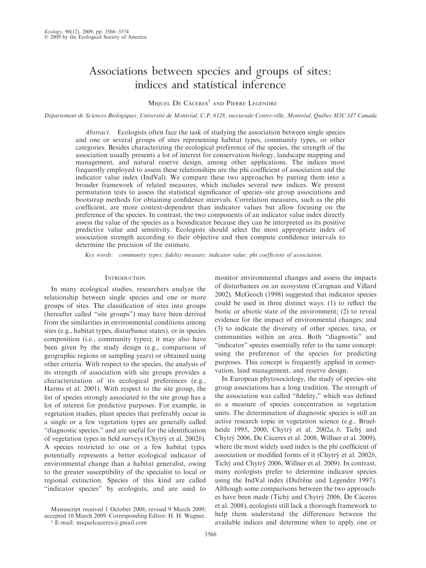# Associations between species and groups of sites: indices and statistical inference

## MIQUEL DE CÁCERES<sup>1</sup> AND PIERRE LEGENDRE

Département de Sciences Biologiques, Université de Montréal, C.P. 6128, succursale Centre-ville, Montréal, Québec H3C 3J7 Canada

Abstract. Ecologists often face the task of studying the association between single species and one or several groups of sites representing habitat types, community types, or other categories. Besides characterizing the ecological preference of the species, the strength of the association usually presents a lot of interest for conservation biology, landscape mapping and management, and natural reserve design, among other applications. The indices most frequently employed to assess these relationships are the phi coefficient of association and the indicator value index (IndVal). We compare these two approaches by putting them into a broader framework of related measures, which includes several new indices. We present permutation tests to assess the statistical significance of species–site group associations and bootstrap methods for obtaining confidence intervals. Correlation measures, such as the phi coefficient, are more context-dependent than indicator values but allow focusing on the preference of the species. In contrast, the two components of an indicator value index directly assess the value of the species as a bioindicator because they can be interpreted as its positive predictive value and sensitivity. Ecologists should select the most appropriate index of association strength according to their objective and then compute confidence intervals to determine the precision of the estimate.

Key words: community types; fidelity measure; indicator value; phi coefficient of association.

#### **INTRODUCTION**

In many ecological studies, researchers analyze the relationship between single species and one or more groups of sites. The classification of sites into groups (hereafter called ''site groups'') may have been derived from the similarities in environmental conditions among sites (e.g., habitat types, disturbance states), or in species composition (i.e., community types); it may also have been given by the study design (e.g., comparison of geographic regions or sampling years) or obtained using other criteria. With respect to the species, the analysis of its strength of association with site groups provides a characterization of its ecological preferences (e.g., Harms et al. 2001). With respect to the site group, the list of species strongly associated to the site group has a lot of interest for predictive purposes. For example, in vegetation studies, plant species that preferably occur in a single or a few vegetation types are generally called ''diagnostic species,'' and are useful for the identification of vegetation types in field surveys (Chytry´ et al.  $2002b$ ). A species restricted to one or a few habitat types potentially represents a better ecological indicator of environmental change than a habitat generalist, owing to the greater susceptibility of the specialist to local or regional extinction. Species of this kind are called "indicator species" by ecologists, and are used to

Manuscript received 1 October 2008; revised 9 March 2009; accepted 10 March 2009. Corresponding Editor: H. H. Wagner.

 $1$  E-mail: miquelcaceres@gmail.com

monitor environmental changes and assess the impacts of disturbances on an ecosystem (Carignan and Villard 2002). McGeoch (1998) suggested that indicator species could be used in three distinct ways: (1) to reflect the biotic or abiotic state of the environment; (2) to reveal evidence for the impact of environmental changes; and (3) to indicate the diversity of other species, taxa, or communities within an area. Both ''diagnostic'' and "indicator" species essentially refer to the same concept: using the preference of the species for predicting purposes. This concept is frequently applied in conservation, land management, and reserve design.

In European phytosociology, the study of species–site group associations has a long tradition. The strength of the association was called ''fidelity,'' which was defined as a measure of species concentration in vegetation units. The determination of diagnostic species is still an active research topic in vegetation science (e.g., Bruelheide 1995, 2000, Chytrý et al.  $2002a, b$ , Tichý and Chytrý 2006, De Cáceres et al. 2008, Willner et al. 2009), where the most widely used index is the phi coefficient of association or modified forms of it (Chytrý et al.  $2002b$ , Tichý and Chytrý 2006, Willner et al. 2009). In contrast, many ecologists prefer to determine indicator species using the IndVal index (Dufrêne and Legendre 1997). Although some comparisons between the two approaches have been made (Tichý and Chytrý 2006, De Cáceres et al. 2008), ecologists still lack a thorough framework to help them understand the differences between the available indices and determine when to apply one or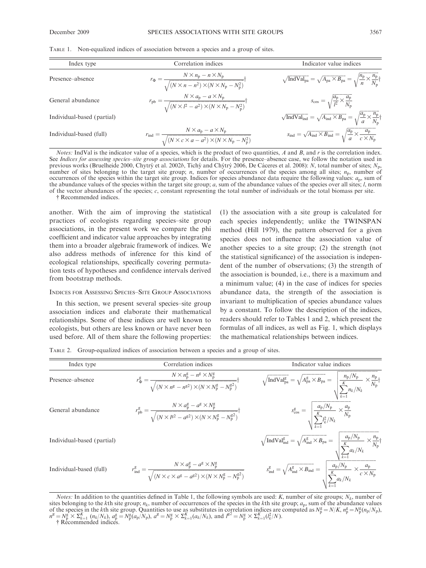| Index type                 | Correlation indices                                                                                                                                         | Indicator value indices                                                                                                                          |
|----------------------------|-------------------------------------------------------------------------------------------------------------------------------------------------------------|--------------------------------------------------------------------------------------------------------------------------------------------------|
| Presence–absence           | $r_{\Phi} = \frac{N \times n_{\rm p} - n \times N_{\rm p}}{\sqrt{(N \times n - n^2) \times (N \times N_{\rm p} - N_{\rm p}^2)}}^{\dagger}$                  | $\sqrt{\text{IndVal}_{pa}} = \sqrt{A_{pa} \times B_{pa}} = \sqrt{\frac{n_p}{n}} \times \frac{n_p}{N_p}$                                          |
| General abundance          | $r_{\rm pb} = \frac{N \times a_{\rm p} - a \times N_{\rm p}}{\sqrt{(N \times P - a^2) \times (N \times N_{\rm p} - N_{\rm p}^2)}}^{\dagger}$                | $s_{\cos} = \sqrt{\frac{a_p}{l^2}} \times \frac{a_p}{N_p}$                                                                                       |
| Individual-based (partial) |                                                                                                                                                             | $\sqrt{\text{IndVal}_{\text{ind}}} = \sqrt{A_{\text{ind}} \times B_{\text{pa}}} = \sqrt{\frac{a_p}{a}} \times \frac{n_p}{N_p}$                   |
| Individual-based (full)    | $r_{\text{ind}} = \frac{N \times a_{\text{p}} - a \times N_{\text{p}}}{\sqrt{(N \times c \times a - a^2) \times (N \times N_{\text{p}} - N_{\text{p}}^2)}}$ | $s_{\text{ind}} = \sqrt{A_{\text{ind}} \times B_{\text{ind}}} = \sqrt{\frac{a_{\text{p}}}{a} \times \frac{a_{\text{p}}}{c \times N_{\text{n}}}}$ |

| TABLE 1. Non-equalized indices of association between a species and a group of sites. |  |  |  |
|---------------------------------------------------------------------------------------|--|--|--|
|                                                                                       |  |  |  |

*Notes:* IndVal is the indicator value of a species, which is the product of two quantities,  $A$  and  $B$ , and  $r$  is the correlation index. See Indices for assessing species–site group associations for details. For the presence–absence case, we follow the notation used in previous works (Bruelheide 2000, Chytrý et al. 2002*b*, Tichý and Chýtrý 2006, De Cáceres et al. 2008): N, total number of sites; N<sub>p</sub>, number of sites belonging to the target site group; *n*, number of occurrences of the species among all sites;  $n_p$ , number of occurrences of the species within the target site group. Indices for species abundance data require the following values:  $a_p$ , sum of the abundance values of the species within the target site group;  $a$ , sum of the abundance values of the species over all sites;  $l$ , norm of the vector abundances of the species; c, constant representing the total number of individuals or the total biomass per site.

- Recommended indices.

another. With the aim of improving the statistical practices of ecologists regarding species–site group associations, in the present work we compare the phi coefficient and indicator value approaches by integrating them into a broader algebraic framework of indices. We also address methods of inference for this kind of ecological relationships, specifically covering permutation tests of hypotheses and confidence intervals derived from bootstrap methods.

### INDICES FOR ASSESSING SPECIES–SITE GROUP ASSOCIATIONS

In this section, we present several species–site group association indices and elaborate their mathematical relationships. Some of these indices are well known to ecologists, but others are less known or have never been used before. All of them share the following properties:

(1) the association with a site group is calculated for each species independently; unlike the TWINSPAN method (Hill 1979), the pattern observed for a given species does not influence the association value of another species to a site group; (2) the strength (not the statistical significance) of the association is independent of the number of observations; (3) the strength of the association is bounded, i.e., there is a maximum and a minimum value; (4) in the case of indices for species abundance data, the strength of the association is invariant to multiplication of species abundance values by a constant. To follow the description of the indices, readers should refer to Tables 1 and 2, which present the formulas of all indices, as well as Fig. 1, which displays the mathematical relationships between indices.

TABLE 2. Group-equalized indices of association between a species and a group of sites.

| Index type                 | Correlation indices                                                                                                                                                                                                                               | Indicator value indices                                                                                                                                                  |
|----------------------------|---------------------------------------------------------------------------------------------------------------------------------------------------------------------------------------------------------------------------------------------------|--------------------------------------------------------------------------------------------------------------------------------------------------------------------------|
| Presence-absence           | $r_\Phi^{\rm g} = \frac{N \times n_{\rm p}^{\rm g} - n^{\rm g} \times N_{\rm p}^{\rm g}}{\sqrt{(N \times n^{\rm g} - n^{\rm g 2})} \times \left(N \times N_{\rm p}^{\rm g} - N_{\rm p}^{\rm g 2}\right)^\dagger}$                                 | $\sqrt{\text{IndVal}_{pa}^g} = \sqrt{A_{pa}^g \times B_{pa}} = \sqrt{\frac{n_p/N_p}{\sum_{k=1}^K n_k/N_k}} \times \frac{n_p}{N_p}$                                       |
| General abundance          |                                                                                                                                                                                                                                                   | $s_{\cos}^g = \sqrt{\frac{a_p/N_p}{\sum_{k=1}^K l_k^2/N_k}} \times \frac{a_p}{N_p}$                                                                                      |
| Individual-based (partial) |                                                                                                                                                                                                                                                   | $\sqrt{\text{IndVal}^g_{\text{ind}}} = \sqrt{A^g_{\text{ind}} \times B_{\text{pa}}} = \sqrt{\frac{a_p / N_p}{\sum_{k=1}^K a_k / N_k}} \times \frac{n_p}{N_p} +$          |
| Individual-based (full)    | $r_{\text{ind}}^{\text{g}} = \frac{N \times a_{\text{p}}^{\text{g}} - a^{\text{g}} \times N_{\text{p}}^{\text{g}}}{\sqrt{(N \times c \times a^{\text{g}} - a^{\text{g}2}) \times (N \times N_{\text{p}}^{\text{g}} - N_{\text{p}}^{\text{g}2})}}$ | $s_{\text{ind}}^{\text{g}} = \sqrt{A_{\text{ind}}^{\text{g}} \times B_{\text{ind}}} = \sqrt{\frac{a_p / N_p}{\sum_{k=1}^{K} a_k / N_k}} \times \frac{a_p}{c \times N_p}$ |

*Notes:* In addition to the quantities defined in Table 1, the following symbols are used: K, number of site groups;  $N_k$ , number of sites belonging to the kth site group;  $n_k$ , number of occurrences of the species in the kth site group;  $a_p$ , sum of the abundance values of the species in the kth site group. Quantities to use as substitutes in correlation indices are computed as  $N_p^g = N/K$ ,  $n_p^g = N_p^g(n_p/N_p)$ ,  $n^g = N_p^g(n_p/N_p)$ ,  $a^g = N_p^g(n_p/N_p)$ ,  $a^g = N_p^g \times \sum_{k=1}^K (a_k/N_k)$ , and  $k^2 = N_p^g \times \sum_{k$ 

- Recommended indices.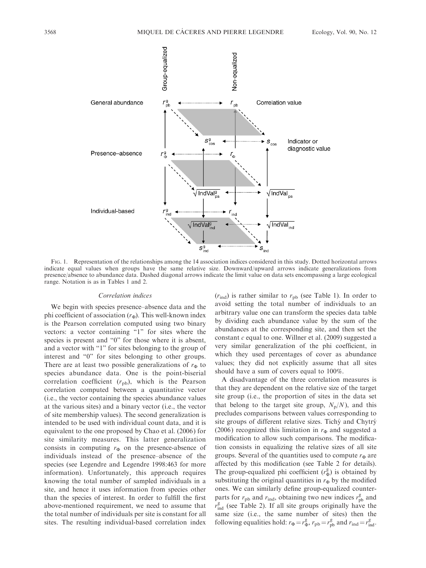

FIG. 1. Representation of the relationships among the 14 association indices considered in this study. Dotted horizontal arrows indicate equal values when groups have the same relative size. Downward/upward arrows indicate generalizations from presence/absence to abundance data. Dashed diagonal arrows indicate the limit value on data sets encompassing a large ecological range. Notation is as in Tables 1 and 2.

### Correlation indices

We begin with species presence–absence data and the phi coefficient of association  $(r_{\Phi})$ . This well-known index is the Pearson correlation computed using two binary vectors: a vector containing "1" for sites where the species is present and ''0'' for those where it is absent, and a vector with "1" for sites belonging to the group of interest and ''0'' for sites belonging to other groups. There are at least two possible generalizations of  $r_{\Phi}$  to species abundance data. One is the point-biserial correlation coefficient  $(r_{pb})$ , which is the Pearson correlation computed between a quantitative vector (i.e., the vector containing the species abundance values at the various sites) and a binary vector (i.e., the vector of site membership values). The second generalization is intended to be used with individual count data, and it is equivalent to the one proposed by Chao et al. (2006) for site similarity measures. This latter generalization consists in computing  $r_{\Phi}$  on the presence-absence of individuals instead of the presence–absence of the species (see Legendre and Legendre 1998:463 for more information). Unfortunately, this approach requires knowing the total number of sampled individuals in a site, and hence it uses information from species other than the species of interest. In order to fulfill the first above-mentioned requirement, we need to assume that the total number of individuals per site is constant for all sites. The resulting individual-based correlation index  $(r_{\text{ind}})$  is rather similar to  $r_{\text{pb}}$  (see Table 1). In order to avoid setting the total number of individuals to an arbitrary value one can transform the species data table by dividing each abundance value by the sum of the abundances at the corresponding site, and then set the constant  $c$  equal to one. Willner et al. (2009) suggested a very similar generalization of the phi coefficient, in which they used percentages of cover as abundance values; they did not explicitly assume that all sites should have a sum of covers equal to 100%.

A disadvantage of the three correlation measures is that they are dependent on the relative size of the target site group (i.e., the proportion of sites in the data set that belong to the target site group,  $N_p/N$ ), and this precludes comparisons between values corresponding to site groups of different relative sizes. Tichy and Chytry (2006) recognized this limitation in  $r_{\Phi}$  and suggested a modification to allow such comparisons. The modification consists in equalizing the relative sizes of all site groups. Several of the quantities used to compute  $r_{\Phi}$  are affected by this modification (see Table 2 for details). The group-equalized phi coefficient  $(r_\Phi^g)$  is obtained by substituting the original quantities in  $r_{\Phi}$  by the modified ones. We can similarly define group-equalized counterparts for  $r_{\rm pb}$  and  $r_{\rm ind}$ , obtaining two new indices  $r_{\rm pb}^{\rm g}$  and  $r_{\text{ind}}^g$  (see Table 2). If all site groups originally have the same size (i.e., the same number of sites) then the following equalities hold:  $r_{\Phi} = r_{\Phi}^g$ ,  $r_{\text{pb}} = r_{\text{pb}}^g$  and  $r_{\text{ind}} = r_{\text{ind}}^g$ .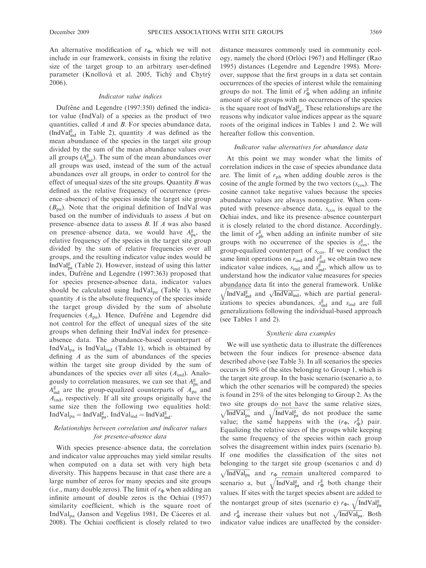An alternative modification of  $r_{\Phi}$ , which we will not include in our framework, consists in fixing the relative size of the target group to an arbitrary user-defined parameter (Knollová et al. 2005, Tichý and Chytrý 2006).

### Indicator value indices

Dufrêne and Legendre (1997:350) defined the indicator value (IndVal) of a species as the product of two quantities, called A and B. For species abundance data, (IndVal $_{\text{ind}}^g$  in Table 2), quantity A was defined as the mean abundance of the species in the target site group divided by the sum of the mean abundance values over all groups  $(A_{\text{ind}}^g)$ . The sum of the mean abundances over all groups was used, instead of the sum of the actual abundances over all groups, in order to control for the effect of unequal sizes of the site groups. Quantity  $B$  was defined as the relative frequency of occurrence (presence–absence) of the species inside the target site group  $(B<sub>pa</sub>)$ . Note that the original definition of IndVal was based on the number of individuals to assess A but on presence–absence data to assess B. If A was also based on presence–absence data, we would have  $A_{pa}^g$ , the relative frequency of the species in the target site group divided by the sum of relative frequencies over all groups, and the resulting indicator value index would be IndVal $_{pa}^{g}$  (Table 2). However, instead of using this latter index, Dufrêne and Legendre (1997:363) proposed that for species presence-absence data, indicator values should be calculated using  $IndVal_{pa}$  (Table 1), where quantity  $\Lambda$  is the absolute frequency of the species inside the target group divided by the sum of absolute frequencies  $(A_{pa})$ . Hence, Dufrêne and Legendre did not control for the effect of unequal sizes of the site groups when defining their IndVal index for presence– absence data. The abundance-based counterpart of IndVal<sub>pa</sub> is IndVal<sub>ind</sub> (Table 1), which is obtained by defining A as the sum of abundances of the species within the target site group divided by the sum of abundances of the species over all sites  $(A_{\text{ind}})$ . Analogously to correlation measures, we can see that  $A_{pa}^g$  and  $A_{\text{ind}}^g$  are the group-equalized counterparts of  $A_{\text{pa}}^g$  and Aind, respectively. If all site groups originally have the same size then the following two equalities hold:  $\text{IndVal}_{pa} = \text{IndVal}_{pa}^g$ ,  $\text{IndVal}_{ind} = \text{IndVal}_{ind}^g$ .

## Relationships between correlation and indicator values for presence-absence data

With species presence–absence data, the correlation and indicator value approaches may yield similar results when computed on a data set with very high beta diversity. This happens because in that case there are a large number of zeros for many species and site groups (i.e., many double zeros). The limit of  $r_{\Phi}$  when adding an infinite amount of double zeros is the Ochiai (1957) similarity coefficient, which is the square root of  $IndVal<sub>pa</sub>$  (Janson and Vegelius 1981, De Cáceres et al. 2008). The Ochiai coefficient is closely related to two distance measures commonly used in community ecology, namely the chord (Orlóci 1967) and Hellinger (Rao 1995) distances (Legendre and Legendre 1998). Moreover, suppose that the first groups in a data set contain occurrences of the species of interest while the remaining groups do not. The limit of  $r_{\Phi}^{\rm g}$  when adding an infinite amount of site groups with no occurrences of the species is the square root of IndVal $_{pa}^{g}$ . These relationships are the reasons why indicator value indices appear as the square roots of the original indices in Tables 1 and 2. We will hereafter follow this convention.

#### Indicator value alternatives for abundance data

At this point we may wonder what the limits of correlation indices in the case of species abundance data are. The limit of  $r_{\rm pb}$  when adding double zeros is the cosine of the angle formed by the two vectors  $(s_{\cos})$ . The cosine cannot take negative values because the species abundance values are always nonnegative. When computed with presence–absence data,  $s_{\cos}$  is equal to the Ochiai index, and like its presence–absence counterpart it is closely related to the chord distance. Accordingly, the limit of  $r_{\rm pb}^{\rm g}$  when adding an infinite number of site groups with no occurrence of the species is  $s_{\cos}^g$ , the group-equalized counterpart of  $s_{\cos}$ . If we conduct the same limit operations on  $r_{\text{ind}}$  and  $r_{\text{ind}}^{\text{g}}$  we obtain two new indicator value indices,  $s_{\text{ind}}$  and  $s_{\text{ind}}^{\text{g}}$ , which allow us to understand how the indicator value measures for species abundance data fit into the general framework. Unlike abundance data in fifto the general framework. Unlike  $\sqrt{\text{IndVal}_{ind}}$  and  $\sqrt{\text{IndVal}_{ind}}$ , which are partial generalizations to species abundances,  $s_{\text{ind}}^g$  and  $s_{\text{ind}}$  are full generalizations following the individual-based approach (see Tables 1 and 2).

### Synthetic data examples

We will use synthetic data to illustrate the differences between the four indices for presence–absence data described above (see Table 3). In all scenarios the species occurs in 50% of the sites belonging to Group 1, which is the target site group. In the basic scenario (scenario a, to which the other scenarios will be compared) the species is found in 25% of the sites belonging to Group 2. As the two site groups do not have the same relative sizes,  $\sqrt{\text{IndVal}}$  and  $\sqrt{\text{IndVal}^g}$  do not produce the same  $\sqrt{\text{IndVal}_{pa}}$  and  $\sqrt{\text{IndVal}_{pa}^g}$  do not produce the same value; the same happens with the  $(r_{\Phi}, r_{\Phi}^g)$  pair. Equalizing the relative sizes of the groups while keeping the same frequency of the species within each group solves the disagreement within index pairs (scenario b). If one modifies the classification of the sites not belonging to the target site group (scenarios c and d)  $\sqrt{\text{IndVal}_{pa}}$  and  $r_{\Phi}$  remain unaltered compared to  $\frac{1}{\sqrt{N}}$  and  $\frac{1}{\sqrt{N}}$  and  $r_{\Phi}^{\text{g}}$  and  $r_{\Phi}^{\text{g}}$  both change their values. If sites with the target species absent are added to the nontarget group of sites (scenario e)  $r_{\Phi}$ ,  $\sqrt{\text{IndVal}_{pa}^{g}}$ and  $r_{\Phi}^{\rm g}$  increase their values but not  $\sqrt{\text{IndVal}_{\text{pa}}}.$  Both indicator value indices are unaffected by the consider-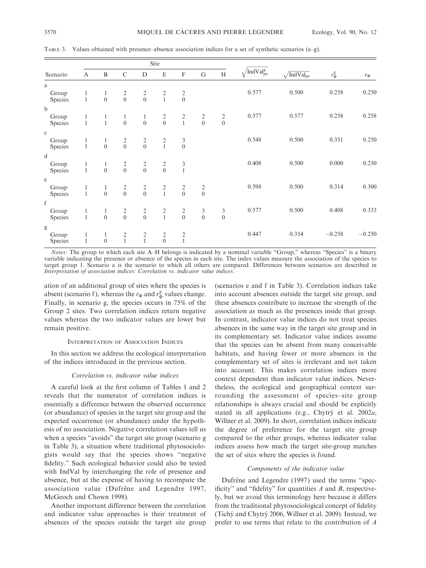|                       |                              |                                  |                                              |                                              | Site                                         |                                              |                                              |                                              |                               |                             |                    |            |
|-----------------------|------------------------------|----------------------------------|----------------------------------------------|----------------------------------------------|----------------------------------------------|----------------------------------------------|----------------------------------------------|----------------------------------------------|-------------------------------|-----------------------------|--------------------|------------|
| Scenario              | $\mathbf{A}$                 | $\, {\bf B}$                     | $\mathbf C$                                  | $\mathbf D$                                  | ${\bf E}$                                    | $\boldsymbol{\mathrm{F}}$                    | G                                            | H                                            | $\sqrt{\text{IndVal}_{pa}^g}$ | $\sqrt{\text{IndVal}_{pa}}$ | $r_{\Phi}^{\rm g}$ | $r_{\Phi}$ |
| a                     |                              |                                  |                                              |                                              |                                              |                                              |                                              |                                              |                               |                             |                    |            |
| Group<br>Species      | 1<br>$\mathbf{1}$            | 1<br>$\mathbf{0}$                | $\begin{smallmatrix} 2\\0 \end{smallmatrix}$ | $\begin{smallmatrix} 2\\0 \end{smallmatrix}$ | $\frac{2}{1}$                                | $\frac{2}{0}$                                |                                              |                                              | 0.577                         | 0.500                       | 0.258              | 0.250      |
| $\mathbf b$           |                              |                                  |                                              |                                              |                                              |                                              |                                              |                                              |                               |                             |                    |            |
| Group<br>Species      | $\mathbf{1}$<br>$\mathbf{1}$ | 1<br>$\mathbf{1}$                | $\begin{matrix}1\\0\end{matrix}$             | $\begin{matrix}1\\0\end{matrix}$             | $\frac{2}{0}$                                | $\frac{2}{1}$                                | $\frac{2}{0}$                                | $\begin{smallmatrix} 2\\0 \end{smallmatrix}$ | 0.577                         | 0.577                       | 0.258              | 0.258      |
| $\mathbf{c}$          |                              |                                  |                                              |                                              |                                              |                                              |                                              |                                              |                               |                             |                    |            |
| Group<br>Species      | $\mathbf{1}$<br>$\mathbf{1}$ | 1<br>$\overline{0}$              | $\begin{smallmatrix} 2\\0 \end{smallmatrix}$ | $\begin{array}{c} 2 \\ 0 \end{array}$        | $\frac{2}{1}$                                | $\begin{array}{c} 3 \\ 0 \end{array}$        |                                              |                                              | 0.548                         | 0.500                       | 0.351              | 0.250      |
| d                     |                              |                                  |                                              |                                              |                                              |                                              |                                              |                                              |                               |                             |                    |            |
| Group<br>Species      | 1<br>$\mathbf{1}$            | 1<br>$\mathbf{0}$                | $\begin{smallmatrix} 2\\0 \end{smallmatrix}$ | $\begin{smallmatrix} 2\\0 \end{smallmatrix}$ | $\overline{2}$<br>$\overline{0}$             | $\frac{3}{1}$                                |                                              |                                              | 0.408                         | 0.500                       | 0.000              | 0.250      |
| $\mathbf e$           |                              |                                  |                                              |                                              |                                              |                                              |                                              |                                              |                               |                             |                    |            |
| Group<br>Species      | 1<br>$\mathbf{1}$            | $\begin{matrix}1\\0\end{matrix}$ | $\begin{smallmatrix} 2\\0 \end{smallmatrix}$ | $\begin{smallmatrix} 2\\0 \end{smallmatrix}$ | $\frac{2}{1}$                                | $\frac{2}{0}$                                | $\begin{smallmatrix} 2\\0 \end{smallmatrix}$ |                                              | 0.598                         | 0.500                       | 0.314              | 0.300      |
| f                     |                              |                                  |                                              |                                              |                                              |                                              |                                              |                                              |                               |                             |                    |            |
| Group<br>Species      | 1<br>$\mathbf{1}$            | $\mathbf{1}$<br>$\overline{0}$   | $\begin{smallmatrix} 2\\0 \end{smallmatrix}$ | $\begin{smallmatrix} 2\\0 \end{smallmatrix}$ | $\frac{2}{1}$                                | $\begin{smallmatrix} 2\\0 \end{smallmatrix}$ | $\begin{array}{c} 3 \\ 0 \end{array}$        | $_0^3$                                       | 0.577                         | 0.500                       | 0.408              | 0.333      |
| g<br>Group<br>Species | 1<br>$\mathbf{1}$            | $\mathbf{1}$<br>$\overline{0}$   | $\frac{2}{1}$                                | $\frac{2}{1}$                                | $\begin{smallmatrix} 2\\0 \end{smallmatrix}$ | $\frac{2}{1}$                                |                                              |                                              | 0.447                         | 0.354                       | $-0.258$           | $-0.250$   |
|                       |                              |                                  |                                              |                                              |                                              |                                              |                                              |                                              |                               |                             |                    |            |

TABLE 3. Values obtained with presence–absence association indices for a set of synthetic scenarios  $(a-g)$ .

Notes: The group to which each site A–H belongs is indicated by a nominal variable "Group," whereas "Species" is a binary variable indicating the presence or absence of the species in each site. The index values measure the association of the species to target group 1. Scenario a is the scenario to which all others are compared. Differences between scenarios are described in Interpretation of association indices: Correlation vs. indicator value indices.

ation of an additional group of sites where the species is absent (scenario f), whereas the  $r_{\Phi}$  and  $r_{\Phi}^{g}$  values change. Finally, in scenario g, the species occurs in 75% of the Group 2 sites. Two correlation indices return negative values whereas the two indicator values are lower but remain positive.

#### INTERPRETATION OF ASSOCIATION INDICES

In this section we address the ecological interpretation of the indices introduced in the previous section.

### Correlation vs. indicator value indices

A careful look at the first column of Tables 1 and 2 reveals that the numerator of correlation indices is essentially a difference between the observed occurrence (or abundance) of species in the target site group and the expected occurrence (or abundance) under the hypothesis of no association. Negative correlation values tell us when a species "avoids" the target site group (scenario g in Table 3), a situation where traditional phytosociologists would say that the species shows ''negative fidelity.'' Such ecological behavior could also be tested with IndVal by interchanging the role of presence and absence, but at the expense of having to recompute the association value (Dufrêne and Legendre 1997, McGeoch and Chown 1998).

Another important difference between the correlation and indicator value approaches is their treatment of absences of the species outside the target site group

(scenarios e and f in Table 3). Correlation indices take into account absences outside the target site group, and these absences contribute to increase the strength of the association as much as the presences inside that group. In contrast, indicator value indices do not treat species absences in the same way in the target site group and in its complementary set. Indicator value indices assume that the species can be absent from many conceivable habitats, and having fewer or more absences in the complementary set of sites is irrelevant and not taken into account. This makes correlation indices more context dependent than indicator value indices. Nevertheless, the ecological and geographical context surrounding the assessment of species–site group relationships is always crucial and should be explicitly stated in all applications (e.g., Chytrý et al.  $2002a$ , Willner et al. 2009). In short, correlation indices indicate the degree of preference for the target site group compared to the other groups, whereas indicator value indices assess how much the target site-group matches the set of sites where the species is found.

### Components of the indicator value

Dufrêne and Legendre (1997) used the terms "specificity" and "fidelity" for quantities  $A$  and  $B$ , respectively, but we avoid this terminology here because it differs from the traditional phytosociological concept of fidelity (Tichý and Chytrý 2006, Willner et al. 2009). Instead, we prefer to use terms that relate to the contribution of A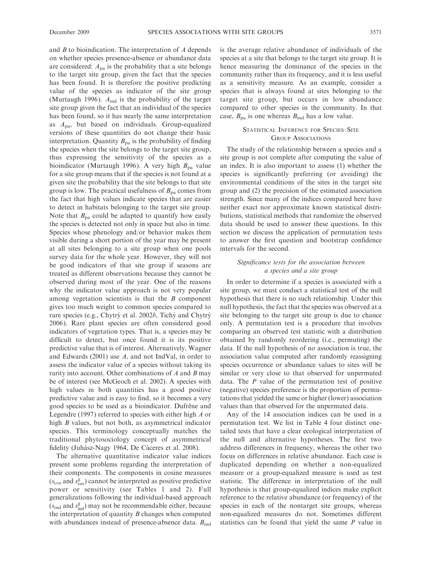and  $B$  to bioindication. The interpretation of  $A$  depends on whether species presence-absence or abundance data are considered:  $A_{pa}$  is the probability that a site belongs to the target site group, given the fact that the species has been found. It is therefore the positive predicting value of the species as indicator of the site group (Murtaugh 1996).  $A_{ind}$  is the probability of the target site group given the fact that an individual of the species has been found, so it has nearly the same interpretation as  $A_{\text{pa}}$ , but based on individuals. Group-equalized versions of these quantities do not change their basic interpretation. Quantity  $B_{pa}$  is the probability of finding the species when the site belongs to the target site group, thus expressing the sensitivity of the species as a bioindicator (Murtaugh 1996). A very high  $B_{pa}$  value for a site group means that if the species is not found at a given site the probability that the site belongs to that site group is low. The practical usefulness of  $B_{pa}$  comes from the fact that high values indicate species that are easier to detect in habitats belonging to the target site group. Note that  $B_{pa}$  could be adapted to quantify how easily the species is detected not only in space but also in time. Species whose phenology and/or behavior makes them visible during a short portion of the year may be present at all sites belonging to a site group when one pools survey data for the whole year. However, they will not be good indicators of that site group if seasons are treated as different observations because they cannot be observed during most of the year. One of the reasons why the indicator value approach is not very popular among vegetation scientists is that the  $B$  component gives too much weight to common species compared to rare species (e.g., Chytrý et al. 2002b, Tichý and Chytrý 2006). Rare plant species are often considered good indicators of vegetation types. That is, a species may be difficult to detect, but once found it is its positive predictive value that is of interest. Alternatively, Wagner and Edwards (2001) use A, and not IndVal, in order to assess the indicator value of a species without taking its rarity into account. Other combinations of  $A$  and  $B$  may be of interest (see McGeoch et al. 2002). A species with high values in both quantities has a good positive predictive value and is easy to find, so it becomes a very good species to be used as a bioindicator. Dufrêne and Legendre (1997) referred to species with either high  $A$  or high B values, but not both, as asymmetrical indicator species. This terminology conceptually matches the traditional phytosociology concept of asymmetrical fidelity (Juhász-Nagy 1964, De Cáceres et al. 2008).

The alternative quantitative indicator value indices present some problems regarding the interpretation of their components. The components in cosine measures  $(s_{\cos}$  and  $s_{\cos}^g$ ) cannot be interpreted as positive predictive power or sensitivity (see Tables 1 and 2). Full generalizations following the individual-based approach  $(s_{\text{ind}})$  and  $s_{\text{ind}}^g$ ) may not be recommendable either, because the interpretation of quantity  $B$  changes when computed with abundances instead of presence-absence data.  $B_{\text{ind}}$ 

is the average relative abundance of individuals of the species at a site that belongs to the target site group. It is hence measuring the dominance of the species in the community rather than its frequency, and it is less useful as a sensitivity measure. As an example, consider a species that is always found at sites belonging to the target site group, but occurs in low abundance compared to other species in the community. In that case,  $B_{pa}$  is one whereas  $B_{ind}$  has a low value.

## STATISTICAL INFERENCE FOR SPECIES–SITE GROUP ASSOCIATIONS

The study of the relationship between a species and a site group is not complete after computing the value of an index. It is also important to assess (1) whether the species is significantly preferring (or avoiding) the environmental conditions of the sites in the target site group and (2) the precision of the estimated association strength. Since many of the indices compared here have neither exact nor approximate known statistical distributions, statistical methods that randomize the observed data should be used to answer these questions. In this section we discuss the application of permutation tests to answer the first question and bootstrap confidence intervals for the second.

## Significance tests for the association between a species and a site group

In order to determine if a species is associated with a site group, we must conduct a statistical test of the null hypothesis that there is no such relationship. Under this null hypothesis, the fact that the species was observed at a site belonging to the target site group is due to chance only. A permutation test is a procedure that involves comparing an observed test statistic with a distribution obtained by randomly reordering (i.e., permuting) the data. If the null hypothesis of no association is true, the association value computed after randomly reassigning species occurrence or abundance values to sites will be similar or very close to that observed for unpermuted data. The  $P$  value of the permutation test of positive (negative) species preference is the proportion of permutations that yielded the same or higher (lower) association values than that observed for the unpermuted data.

Any of the 14 association indices can be used in a permutation test. We list in Table 4 four distinct onetailed tests that have a clear ecological interpretation of the null and alternative hypotheses. The first two address differences in frequency, whereas the other two focus on differences in relative abundance. Each case is duplicated depending on whether a non-equalized measure or a group-equalized measure is used as test statistic. The difference in interpretation of the null hypothesis is that group-equalized indices make explicit reference to the relative abundance (or frequency) of the species in each of the nontarget site groups, whereas non-equalized measures do not. Sometimes different statistics can be found that yield the same P value in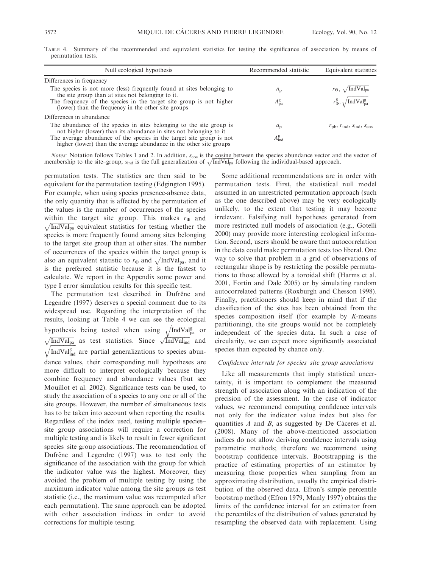| Null ecological hypothesis                                                                                                                 | Recommended statistic       | Equivalent statistics                                        |
|--------------------------------------------------------------------------------------------------------------------------------------------|-----------------------------|--------------------------------------------------------------|
| Differences in frequency                                                                                                                   |                             |                                                              |
| The species is not more (less) frequently found at sites belonging to<br>the site group than at sites not belonging to it.                 | $n_{\rm p}$                 | $r_{\Theta}$ , $\sqrt{\text{IndVal}_{pa}}$                   |
| The frequency of the species in the target site group is not higher<br>(lower) than the frequency in the other site groups                 | $A_{\text{pa}}^{\text{g}}$  | $r_{\Phi}^{\rm g}, \sqrt{\rm IndVal_{pa}^{\rm g}}$           |
| Differences in abundance                                                                                                                   |                             |                                                              |
| The abundance of the species in sites belonging to the site group is<br>not higher (lower) than its abundance in sites not belonging to it | $a_{\rm p}$                 | $r_{\rm pb}$ , $r_{\rm ind}$ , $s_{\rm ind}$ , $s_{\rm cos}$ |
| The average abundance of the species in the target site group is not<br>higher (lower) than the average abundance in the other site groups | $A_{\text{ind}}^{\text{g}}$ |                                                              |

TABLE 4. Summary of the recommended and equivalent statistics for testing the significance of association by means of permutation tests.

Notes: Notation follows Tables 1 and 2. In addition,  $s_{\cos}$  is the cosine between the species abundance vector and the vector of *Notes.* Notation follows Tables 1 and 2. In addition,  $s_{\cos}$  is the cosine octween the species abundance vector and membership to the site–group;  $s_{\text{ind}}$  is the full generalization of  $\sqrt{\text{IndVal}_{pa}}$  following the indivi

permutation tests. The statistics are then said to be equivalent for the permutation testing (Edgington 1995). For example, when using species presence-absence data, the only quantity that is affected by the permutation of the values is the number of occurrences of the species within the target site group. This makes  $r_{\Phi}$  and  $\sqrt{\text{IndVal}_{pa}}$  equivalent statistics for testing whether the species is more frequently found among sites belonging to the target site group than at other sites. The number of occurrences of the species within the target group is also an equivalent statistic to  $r_{\Phi}$  and  $\sqrt{\text{IndVal}_{pa}}$ , and it is the preferred statistic because it is the fastest to calculate. We report in the Appendix some power and type I error simulation results for this specific test.

The permutation test described in Dufrêne and Legendre (1997) deserves a special comment due to its widespread use. Regarding the interpretation of the results, looking at Table 4 we can see the ecological hypothesis being tested when using  $\sqrt{\text{IndVal}_{pa}^{g}}$  or  $\sqrt{\frac{V}{\text{IndVal}_{pa}}}$  as test statistics. Since  $\sqrt{\frac{V}{\text{IndVal}_{ind}}}$  and  $\sqrt{\text{IndVal}_{ind}^g}$  as test statistics. Since  $\sqrt{\text{IndVal}_{ind}^g}$  and dance values, their corresponding null hypotheses are more difficult to interpret ecologically because they combine frequency and abundance values (but see Mouillot et al. 2002). Significance tests can be used, to study the association of a species to any one or all of the site groups. However, the number of simultaneous tests has to be taken into account when reporting the results. Regardless of the index used, testing multiple species– site group associations will require a correction for multiple testing and is likely to result in fewer significant species–site group associations. The recommendation of Dufrêne and Legendre (1997) was to test only the significance of the association with the group for which the indicator value was the highest. Moreover, they avoided the problem of multiple testing by using the maximum indicator value among the site groups as test statistic (i.e., the maximum value was recomputed after each permutation). The same approach can be adopted with other association indices in order to avoid corrections for multiple testing.

Some additional recommendations are in order with permutation tests. First, the statistical null model assumed in an unrestricted permutation approach (such as the one described above) may be very ecologically unlikely, to the extent that testing it may become irrelevant. Falsifying null hypotheses generated from more restricted null models of association (e.g., Gotelli 2000) may provide more interesting ecological information. Second, users should be aware that autocorrelation in the data could make permutation tests too liberal. One way to solve that problem in a grid of observations of rectangular shape is by restricting the possible permutations to those allowed by a toroidal shift (Harms et al. 2001, Fortin and Dale 2005) or by simulating random autocorrelated patterns (Roxburgh and Chesson 1998). Finally, practitioners should keep in mind that if the classification of the sites has been obtained from the species composition itself (for example by K-means partitioning), the site groups would not be completely independent of the species data. In such a case of circularity, we can expect more significantly associated species than expected by chance only.

### Confidence intervals for species–site group associations

Like all measurements that imply statistical uncertainty, it is important to complement the measured strength of association along with an indication of the precision of the assessment. In the case of indicator values, we recommend computing confidence intervals not only for the indicator value index but also for quantities  $A$  and  $B$ , as suggested by De Cáceres et al. (2008). Many of the above-mentioned association indices do not allow deriving confidence intervals using parametric methods; therefore we recommend using bootstrap confidence intervals. Bootstrapping is the practice of estimating properties of an estimator by measuring those properties when sampling from an approximating distribution, usually the empirical distribution of the observed data. Efron's simple percentile bootstrap method (Efron 1979, Manly 1997) obtains the limits of the confidence interval for an estimator from the percentiles of the distribution of values generated by resampling the observed data with replacement. Using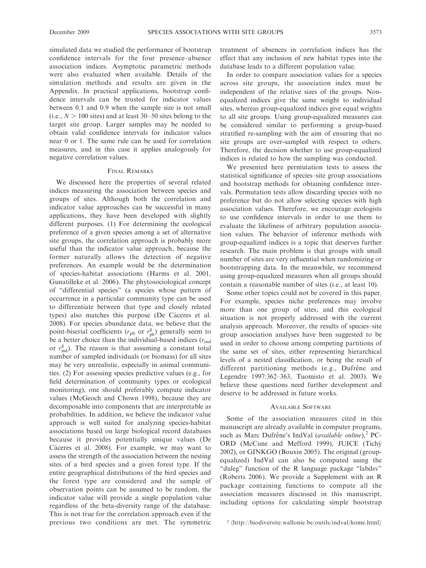simulated data we studied the performance of bootstrap confidence intervals for the four presence–absence association indices. Asymptotic parametric methods were also evaluated when available. Details of the simulation methods and results are given in the Appendix. In practical applications, bootstrap confidence intervals can be trusted for indicator values between 0.1 and 0.9 when the sample size is not small (i.e.,  $N > 100$  sites) and at least 30–50 sites belong to the target site group. Larger samples may be needed to obtain valid confidence intervals for indicator values near 0 or 1. The same rule can be used for correlation measures, and in this case it applies analogously for negative correlation values.

### FINAL REMARKS

We discussed here the properties of several related indices measuring the association between species and groups of sites. Although both the correlation and indicator value approaches can be successful in many applications, they have been developed with slightly different purposes. (1) For determining the ecological preference of a given species among a set of alternative site groups, the correlation approach is probably more useful than the indicator value approach, because the former naturally allows the detection of negative preferences. An example would be the determination of species-habitat associations (Harms et al. 2001, Gunatilleke et al. 2006). The phytosociological concept of ''differential species'' (a species whose pattern of occurrence in a particular community type can be used to differentiate between that type and closely related types) also matches this purpose (De Cáceres et al. 2008). For species abundance data, we believe that the point-biserial coefficients ( $r_{\rm pb}$  or  $r_{\rm pb}^{\rm g}$ ) generally seem to be a better choice than the individual-based indices  $(r_{\text{ind}})$ or  $r_{\text{ind}}^g$ ). The reason is that assuming a constant total number of sampled individuals (or biomass) for all sites may be very unrealistic, especially in animal communities. (2) For assessing species predictive values (e.g., for field determination of community types or ecological monitoring), one should preferably compute indicator values (McGeoch and Chown 1998), because they are decomposable into components that are interpretable as probabilities. In addition, we believe the indicator value approach is well suited for analyzing species-habitat associations based on large biological record databases because it provides potentially unique values (De Cáceres et al. 2008). For example, we may want to assess the strength of the association between the nesting sites of a bird species and a given forest type. If the entire geographical distributions of the bird species and the forest type are considered and the sample of observation points can be assumed to be random, the indicator value will provide a single population value regardless of the beta-diversity range of the database. This is not true for the correlation approach even if the previous two conditions are met. The symmetric treatment of absences in correlation indices has the effect that any inclusion of new habitat types into the database leads to a different population value.

In order to compare association values for a species across site groups, the association index must be independent of the relative sizes of the groups. Nonequalized indices give the same weight to individual sites, whereas group-equalized indices give equal weights to all site groups. Using group-equalized measures can be considered similar to performing a group-based stratified re-sampling with the aim of ensuring that no site groups are over-sampled with respect to others. Therefore, the decision whether to use group-equalized indices is related to how the sampling was conducted.

We presented here permutation tests to assess the statistical significance of species–site group associations and bootstrap methods for obtaining confidence intervals. Permutation tests allow discarding species with no preference but do not allow selecting species with high association values. Therefore, we encourage ecologists to use confidence intervals in order to use them to evaluate the likeliness of arbitrary population association values. The behavior of inference methods with group-equalized indices is a topic that deserves further research. The main problem is that groups with small number of sites are very influential when randomizing or bootstrapping data. In the meanwhile, we recommend using group-equalized measures when all groups should contain a reasonable number of sites (i.e., at least 10).

Some other topics could not be covered in this paper. For example, species niche preferences may involve more than one group of sites, and this ecological situation is not properly addressed with the current analysis approach. Moreover, the results of species–site group association analyses have been suggested to be used in order to choose among competing partitions of the same set of sites, either representing hierarchical levels of a nested classification, or being the result of different partitioning methods (e.g., Dufrêne and Legendre 1997:362–363, Tuomisto et al. 2003). We believe these questions need further development and deserve to be addressed in future works.

#### AVAILABLE SOFTWARE

Some of the association measures cited in this manuscript are already available in computer programs, such as Marc Dufrêne's IndVal (available online), $^{2}$  PC-ORD (McCune and Mefford 1999), JUICE (Tichy´ 2002), or GINKGO (Bouxin 2005). The original (groupequalized) IndVal can also be computed using the ''duleg'' function of the R language package ''labdsv'' (Roberts 2006). We provide a Supplement with an R package containing functions to compute all the association measures discussed in this manuscript, including options for calculating simple bootstrap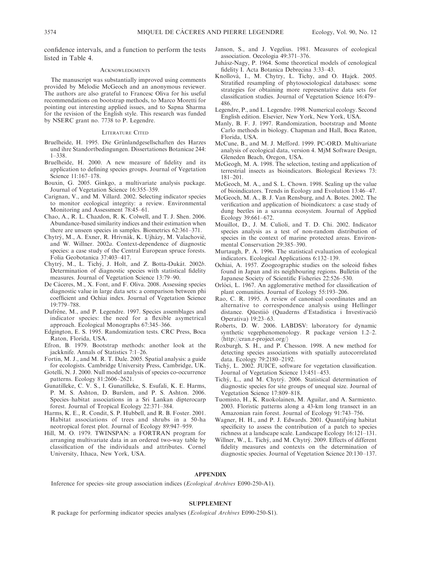confidence intervals, and a function to perform the tests listed in Table 4.

#### **ACKNOWLEDGMENTS**

The manuscript was substantially improved using comments provided by Melodie McGeoch and an anonymous reviewer. The authors are also grateful to Francesc Oliva for his useful recommendations on bootstrap methods, to Marco Moretti for pointing out interesting applied issues, and to Sapna Sharma for the revision of the English style. This research was funded by NSERC grant no. 7738 to P. Legendre.

#### LITERATURE CITED

- Bruelheide, H. 1995. Die Grünlandgesellschaften des Harzes und ihre Standortbedingungen. Dissertationes Botanicae 244: 1–338.
- Bruelheide, H. 2000. A new measure of fidelity and its application to defining species groups. Journal of Vegetation Science 11:167–178.
- Bouxin, G. 2005. Ginkgo, a multivariate analysis package. Journal of Vegetation Science 16:355–359.
- Carignan, V., and M. Villard. 2002. Selecting indicator species to monitor ecological integrity: a review. Environmental Monitoring and Assessment 78:45–61.
- Chao, A., R. L. Chazdon, R. K. Colwell, and T. J. Shen. 2006. Abundance-based similarity indices and their estimation when there are unseen species in samples. Biometrics 62:361–371.
- Chytrý, M., A. Exner, R. Hrivnák, K. Ujházy, M. Valachoviè, and W. Willner. 2002a. Context-dependence of diagnostic species: a case study of the Central European spruce forests. Folia Geobotanica 37:403–417.
- Chytrý, M., L. Tichý, J. Holt, and Z. Botta-Dukát. 2002b. Determination of diagnostic species with statistical fidelity measures. Journal of Vegetation Science 13:79–90.
- De Cáceres, M., X. Font, and F. Oliva. 2008. Assessing species diagnostic value in large data sets: a comparison between phi coefficient and Ochiai index. Journal of Vegetation Science 19:779–788.
- Dufrêne, M., and P. Legendre. 1997. Species assemblages and indicator species: the need for a flexible asymetrical approach. Ecological Monographs 67:345–366.
- Edgington, E. S. 1995. Randomization tests. CRC Press, Boca Raton, Florida, USA.
- Efron, B. 1979. Bootstrap methods: another look at the jackknife. Annals of Statistics 7:1–26.
- Fortin, M. J., and M. R. T. Dale. 2005. Spatial analysis: a guide for ecologists. Cambridge University Press, Cambridge, UK.
- Gotelli, N. J. 2000. Null model analysis of species co-occurrence patterns. Ecology 81:2606–2621.
- Gunatilleke, C. V. S., I. Gunatilleke, S. Esufali, K. E. Harms, P. M. S. Ashton, D. Burslem, and P. S. Ashton. 2006. Species–habitat associations in a Sri Lankan dipterocarp forest. Journal of Tropical Ecology 22:371–384.
- Harms, K. E., R. Condit, S. P. Hubbell, and R. B. Foster. 2001. Habitat associations of trees and shrubs in a 50-ha neotropical forest plot. Journal of Ecology 89:947–959.
- Hill, M. O. 1979. TWINSPAN: a FORTRAN program for arranging multivariate data in an ordered two-way table by classification of the individuals and attributes. Cornel University, Ithaca, New York, USA.
- Janson, S., and J. Vegelius. 1981. Measures of ecological association. Oecologia 49:371–376.
- Juhász-Nagy, P. 1964. Some theoretical models of cenological fidelity I. Acta Botanica Debrecina 3:33–43.
- Knollová, I., M. Chytry, L. Tichy, and O. Hajek. 2005. Stratified resampling of phytosociological databases: some strategies for obtaining more representative data sets for classification studies. Journal of Vegetation Science 16:479– 486.
- Legendre, P., and L. Legendre. 1998. Numerical ecology. Second English edition. Elsevier, New York, New York, USA.
- Manly, B. F. J. 1997. Randomization, bootstrap and Monte Carlo methods in biology. Chapman and Hall, Boca Raton, Florida, USA.
- McCune, B., and M. J. Mefford. 1999. PC-ORD. Multivariate analysis of ecological data, version 4. MjM Software Design, Gleneden Beach, Oregon, USA.
- McGeogh, M. A. 1998. The selection, testing and application of terrestrial insects as bioindicators. Biological Reviews 73: 181–201.
- McGeoch, M. A., and S. L. Chown. 1998. Scaling up the value of bioindicators. Trends in Ecology and Evolution 13:46–47.
- McGeoch, M. A., B. J. Van Rensburg, and A. Botes. 2002. The verification and application of bioindicators: a case study of dung beetles in a savanna ecosystem. Journal of Applied Ecology 39:661–672.
- Mouillot, D., J. M. Culioli, and T. D. Chi. 2002. Indicator species analysis as a test of non-random distribution of species in the context of marine protected areas. Environmental Conservation 29:385–390.
- Murtaugh, P. A. 1996. The statistical evaluation of ecological indicators. Ecological Applications 6:132–139.
- Ochiai, A. 1957. Zoogeographic studies on the soleoid fishes found in Japan and its neighbouring regions. Bulletin of the Japanese Society of Scientific Fisheries 22:526–530.
- Orlóci, L. 1967. An agglomerative method for classification of plant comunities. Journal of Ecology 55:193–206.
- Rao, C. R. 1995. A review of canonical coordinates and an alternative to correspondence analysis using Hellinger distance. Qüestiió (Quaderns d'Estadistica i Investivació Operativa) 19:23–63.
- Roberts, D. W. 2006. LABDSV: laboratory for dynamic synthetic vegephenomenology. R package version 1.2–2.  $\langle$ http://cran.r-project.org/ $\rangle$
- Roxburgh, S. H., and P. Chesson. 1998. A new method for detecting species associations with spatially autocorrelated data. Ecology 79:2180–2192.
- Tichý, L. 2002. JUICE, software for vegetation classification. Journal of Vegetation Science 13:451–453.
- Tichý, L., and M. Chytrý. 2006. Statistical determination of diagnostic species for site groups of unequal size. Journal of Vegetation Science 17:809–818.
- Tuomisto, H., K. Ruokolainen, M. Aguilar, and A. Sarmiento. 2003. Floristic patterns along a 43-km long transect in an Amazonian rain forest. Journal of Ecology 91:743–756.
- Wagner, H. H., and P. J. Edwards. 2001. Quantifying habitat specificity to assess the contribution of a patch to species richness at a landscape scale. Landscape Ecology 16:121–131.
- Willner, W., L. Tichý, and M. Chytrý. 2009. Effects of different fidelity measures and contexts on the determination of diagnostic species. Journal of Vegetation Science 20:130–137.

#### APPENDIX

Inference for species–site group association indices (Ecological Archives E090-250-A1).

### SUPPLEMENT

R package for performing indicator species analyses (Ecological Archives E090-250-S1).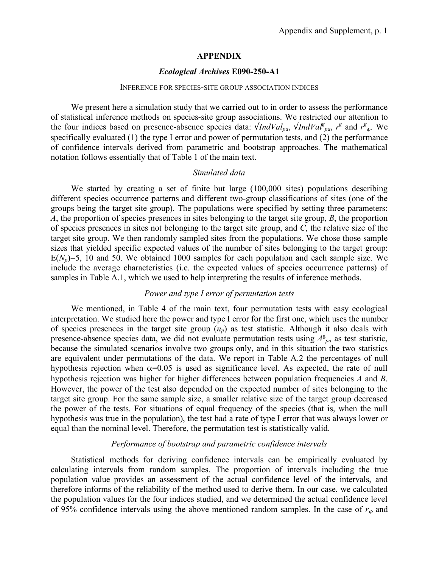## **APPENDIX**

## *Ecological Archives* **E090-250-A1**

## INFERENCE FOR SPECIES-SITE GROUP ASSOCIATION INDICES

We present here a simulation study that we carried out to in order to assess the performance of statistical inference methods on species-site group associations. We restricted our attention to the four indices based on presence-absence species data:  $\sqrt{IndVal_{pa}}$ ,  $\sqrt{IndVal_{pa}}$ ,  $r^g$  and  $r^g$ <sub> $\varphi$ </sub>. We specifically evaluated (1) the type I error and power of permutation tests, and (2) the performance of confidence intervals derived from parametric and bootstrap approaches. The mathematical notation follows essentially that of Table 1 of the main text.

## *Simulated data*

We started by creating a set of finite but large (100,000 sites) populations describing different species occurrence patterns and different two-group classifications of sites (one of the groups being the target site group). The populations were specified by setting three parameters: *A*, the proportion of species presences in sites belonging to the target site group, *B*, the proportion of species presences in sites not belonging to the target site group, and *C*, the relative size of the target site group. We then randomly sampled sites from the populations. We chose those sample sizes that yielded specific expected values of the number of sites belonging to the target group:  $E(N_p)=5$ , 10 and 50. We obtained 1000 samples for each population and each sample size. We include the average characteristics (i.e. the expected values of species occurrence patterns) of samples in Table A.1, which we used to help interpreting the results of inference methods.

## *Power and type I error of permutation tests*

We mentioned, in Table 4 of the main text, four permutation tests with easy ecological interpretation. We studied here the power and type I error for the first one, which uses the number of species presences in the target site group  $(n_p)$  as test statistic. Although it also deals with presence-absence species data, we did not evaluate permutation tests using  $A_{pa}^g$  as test statistic, because the simulated scenarios involve two groups only, and in this situation the two statistics are equivalent under permutations of the data. We report in Table A.2 the percentages of null hypothesis rejection when  $\alpha$ =0.05 is used as significance level. As expected, the rate of null hypothesis rejection was higher for higher differences between population frequencies *A* and *B*. However, the power of the test also depended on the expected number of sites belonging to the target site group. For the same sample size, a smaller relative size of the target group decreased the power of the tests. For situations of equal frequency of the species (that is, when the null hypothesis was true in the population), the test had a rate of type I error that was always lower or equal than the nominal level. Therefore, the permutation test is statistically valid.

## *Performance of bootstrap and parametric confidence intervals*

Statistical methods for deriving confidence intervals can be empirically evaluated by calculating intervals from random samples. The proportion of intervals including the true population value provides an assessment of the actual confidence level of the intervals, and therefore informs of the reliability of the method used to derive them. In our case, we calculated the population values for the four indices studied, and we determined the actual confidence level of 95% confidence intervals using the above mentioned random samples. In the case of  $r_{\phi}$  and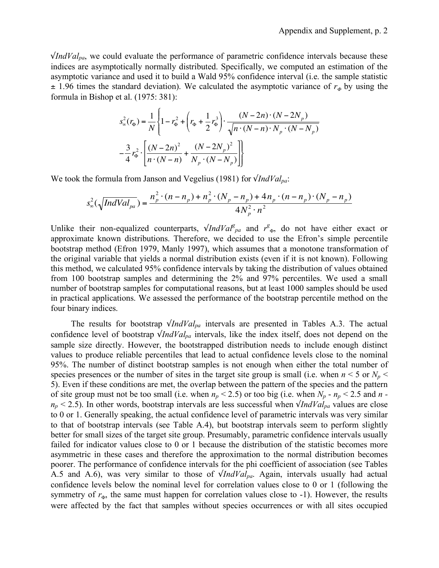√*IndValpa*, we could evaluate the performance of parametric confidence intervals because these indices are asymptotically normally distributed. Specifically, we computed an estimation of the asymptotic variance and used it to build a Wald 95% confidence interval (i.e. the sample statistic  $\pm$  1.96 times the standard deviation). We calculated the asymptotic variance of  $r_{\phi}$  by using the formula in Bishop et al. (1975: 381):

$$
s_{\infty}^{2}(r_{\Phi}) = \frac{1}{N} \left\{ 1 - r_{\Phi}^{2} + \left( r_{\Phi} + \frac{1}{2} r_{\Phi}^{3} \right) \cdot \frac{(N - 2n) \cdot (N - 2N_{p})}{\sqrt{n \cdot (N - n) \cdot N_{p} \cdot (N - N_{p})}} - \frac{3}{4} r_{\Phi}^{2} \cdot \left[ \frac{(N - 2n)^{2}}{n \cdot (N - n)} + \frac{(N - 2N_{p})^{2}}{N_{p} \cdot (N - N_{p})} \right] \right\}
$$

We took the formula from Janson and Vegelius (1981) for √*IndValpa*:

$$
s_{\infty}^{2}(\sqrt{IndVal_{pa}}) = \frac{n_{p}^{2} \cdot (n - n_{p}) + n_{p}^{2} \cdot (N_{p} - n_{p}) + 4n_{p} \cdot (n - n_{p}) \cdot (N_{p} - n_{p})}{4N_{p}^{2} \cdot n^{2}}
$$

bootstrap method (Efron 1979, Manly 1997), which assumes that a monotone transformation of Unlike their non-equalized counterparts,  $\sqrt{IndVa^g}$  and  $r^g$ <sub> $\phi$ </sub>, do not have either exact or approximate known distributions. Therefore, we decided to use the Efron's simple percentile the original variable that yields a normal distribution exists (even if it is not known). Following this method, we calculated 95% confidence intervals by taking the distribution of values obtained from 100 bootstrap samples and determining the 2% and 97% percentiles. We used a small number of bootstrap samples for computational reasons, but at least 1000 samples should be used in practical applications. We assessed the performance of the bootstrap percentile method on the four binary indices.

The results for bootstrap  $\sqrt{IndVal_{pa}}$  intervals are presented in Tables A.3. The actual confidence level of bootstrap √*IndValpa* intervals, like the index itself, does not depend on the sample size directly. However, the bootstrapped distribution needs to include enough distinct values to produce reliable percentiles that lead to actual confidence levels close to the nominal 95%. The number of distinct bootstrap samples is not enough when either the total number of species presences or the number of sites in the target site group is small (i.e. when  $n < 5$  or  $N_p <$ 5). Even if these conditions are met, the overlap between the pattern of the species and the pattern of site group must not be too small (i.e. when  $n_p < 2.5$ ) or too big (i.e. when  $N_p - n_p < 2.5$  and  $n - 1$  $n_p$  < 2.5). In other words, bootstrap intervals are less successful when  $\sqrt{IndVal_{pa}}$  values are close to 0 or 1. Generally speaking, the actual confidence level of parametric intervals was very similar to that of bootstrap intervals (see Table A.4), but bootstrap intervals seem to perform slightly better for small sizes of the target site group. Presumably, parametric confidence intervals usually failed for indicator values close to 0 or 1 because the distribution of the statistic becomes more asymmetric in these cases and therefore the approximation to the normal distribution becomes poorer. The performance of confidence intervals for the phi coefficient of association (see Tables A.5 and A.6), was very similar to those of  $\sqrt{IndVal_{pa}}$ . Again, intervals usually had actual confidence levels below the nominal level for correlation values close to 0 or 1 (following the symmetry of  $r_{\Phi}$ , the same must happen for correlation values close to -1). However, the results were affected by the fact that samples without species occurrences or with all sites occupied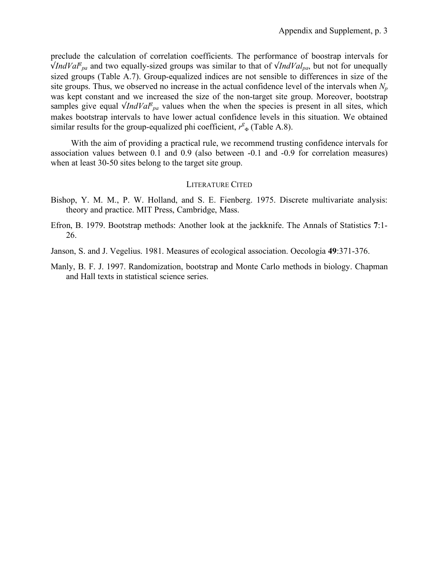preclude the calculation of correlation coefficients. The performance of boostrap intervals for √*IndVal<sup>g</sup> pa* and two equally-sized groups was similar to that of √*IndValpa*, but not for unequally sized groups (Table A.7). Group-equalized indices are not sensible to differences in size of the site groups. Thus, we observed no increase in the actual confidence level of the intervals when  $N_p$ was kept constant and we increased the size of the non-target site group. Moreover, bootstrap samples give equal  $\sqrt{IndVal_{pa}^g}$  values when the when the species is present in all sites, which makes bootstrap intervals to have lower actual confidence levels in this situation. We obtained similar results for the group-equalized phi coefficient,  $r_{\phi}^{g}$  (Table A.8).

With the aim of providing a practical rule, we recommend trusting confidence intervals for association values between 0.1 and 0.9 (also between -0.1 and -0.9 for correlation measures) when at least 30-50 sites belong to the target site group.

## LITERATURE CITED

- Bishop, Y. M. M., P. W. Holland, and S. E. Fienberg. 1975. Discrete multivariate analysis: theory and practice. MIT Press, Cambridge, Mass.
- Efron, B. 1979. Bootstrap methods: Another look at the jackknife. The Annals of Statistics **7**:1- 26.

Janson, S. and J. Vegelius. 1981. Measures of ecological association. Oecologia **49**:371-376.

Manly, B. F. J. 1997. Randomization, bootstrap and Monte Carlo methods in biology. Chapman and Hall texts in statistical science series.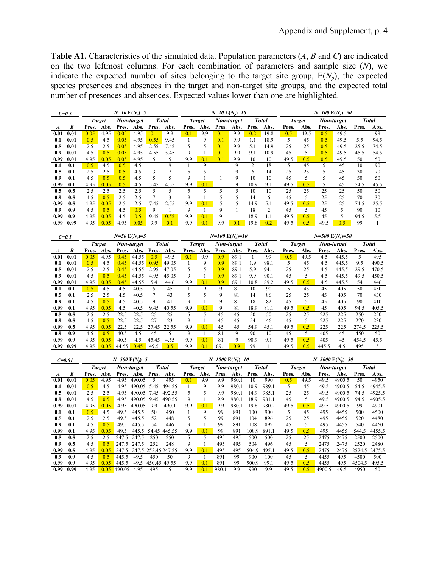**Table A1.** Characteristics of the simulated data. Population parameters (*A*, *B* and *C*) are indicated on the two leftmost columns. For each combination of parameters and sample size (*N*), we indicate the expected number of sites belonging to the target site group,  $E(N_p)$ , the expected species presences and absences in the target and non-target site groups, and the expected total number of presences and absences. Expected values lower than one are highlighted.

|      | $C=0.5$ | $N=10$ E(N <sub>p</sub> )=5<br><b>Total</b> |               |       |            |       |      | $N=20$ E(N <sub>p</sub> )=10 |               |            |      |       |              | $N=100$ E(N <sub>n</sub> )=50 |               |            |      |       |              |
|------|---------|---------------------------------------------|---------------|-------|------------|-------|------|------------------------------|---------------|------------|------|-------|--------------|-------------------------------|---------------|------------|------|-------|--------------|
|      |         |                                             | <b>Target</b> |       | Non-target |       |      |                              | <b>Target</b> | Non-target |      |       | <b>Total</b> |                               | <b>Target</b> | Non-target |      |       | <b>Total</b> |
| A    | B       | Pres.                                       | Abs.          | Pres. | Abs.       | Pres. | Abs. | Pres.                        | Abs.          | Pres.      | Abs. | Pres. | Abs.         | Pres.                         | Abs.          | Pres.      | Abs. | Pres. | Abs.         |
| 0.01 | 0.01    | 0.05                                        | 4.95          | 0.05  | 4.95       | 0.1   | 9.9  | 0.1                          | 9.9           | 0.1        | 9.9  | 0.2   | 19.8         | 0.5                           | 49.5          | 0.5        | 49.5 |       | 99           |
| 0.1  | 0.01    | 0.5                                         | 4.5           | 0.05  | 4.95       | 0.55  | 9.45 |                              | 9             | 0.1        | 9.9  |       | 18.9         |                               | 45            | 0.5        | 49.5 | 5.5   | 94.5         |
| 0.5  | 0.01    | 2.5                                         | 2.5           | 0.05  | 4.95       | 2.55  | 7.45 |                              |               | 0.1        | 9.9  | 5.1   | 14.9         | 25                            | 25            | 0.5        | 49.5 | 25.5  | 74.5         |
| 0.9  | 0.01    | 4.5                                         | 0.5           | 0.05  | 4.95       | 4.55  | 5.45 | 9                            |               | 0.1        | 9.9  | 9.1   | 10.9         | 45                            |               | 0.5        | 49.5 | 45.5  | 54.5         |
| 0.99 | 0.01    | 4.95                                        | 0.05          | 0.05  | 4.95       |       |      | 9.9                          | 0.1           | 0.1        | 9.9  | 10    | 10           | 49.5                          | 0.5           | 0.5        | 49.5 | 50    | 50           |
| 0.1  | 0.1     | 0.5                                         | 4.5           | 0.5   | 4.5        |       | 9    |                              |               |            | 9    |       | 18           |                               | 45            |            | 45   | 10    | 90           |
| 0.5  | 0.1     | 2.5                                         | 2.5           | 0.5   | 4.5        |       |      |                              |               |            | 9    | 6     | 14           | 25                            | 25            |            | 45   | 30    | 70           |
| 0.9  | 0.1     | 4.5                                         | 0.5           | 0.5   | 4.5        |       | 5    | 9                            |               |            | 9    | 10    | 10           | 45                            |               |            | 45   | 50    | 50           |
| 0.99 | 0.1     | 4.95                                        | 0.05          | 0.5   | 4.5        | 5.45  | 4.55 | 9.9                          | 0.1           |            | 9    | 10.9  | 9.1          | 49.5                          | 0.5           |            | 45   | 54.5  | 45.5         |
| 0.5  | 0.5     | 2.5                                         | 2.5           | 2.5   | 2.5        |       |      |                              |               |            |      | 10    | 10           | 25                            | 25            | 25         | 25   | 50    | 50           |
| 0.9  | 0.5     | 4.5                                         | 0.5           | 2.5   | 2.5        |       | 3    | 9                            |               |            |      | 14    | 6            | 45                            |               | 25         | 25   | 70    | 30           |
| 0.99 | 0.5     | 4.95                                        | 0.05          | 2.5   | 2.5        | 7.45  | 2.55 | 9.9                          | 0.1           |            |      | 14.9  | 5.1          | 49.5                          | 0.5           | 25         | 25   | 74.5  | 25.5         |
| 0.9  | 0.9     | 4.5                                         | 0.5           | 4.5   | 0.5        | 9     |      | 9                            |               | q          |      | 18    | 2            | 45                            |               | 45         |      | 90    | 10           |
| 0.99 | 0.9     | 4.95                                        | 0.05          | 4.5   | 0.5        | 9.45  | 0.55 | 9.9                          | 0.1           |            |      | 18.9  | 1.1          | 49.5                          | 0.5           | 45         |      | 94.5  | 5.5          |
| 0.99 | 0.99    | 4.95                                        | 0.05          | 4.95  | 0.05       | 9.9   |      | 9.9                          | 0.1           | 9.9        | 0.1  | 19.8  | 0.2          | 49.5                          | 0.5           | 49.5       | 0.5  | 99    |              |

|      | $C=0.1$ |       | $N=50$ E(N <sub>p</sub> )=5<br><b>Total</b><br><b>Target</b><br>Non-target |       |       |       |       | $N=100 \text{ E}(N_p)=10$ |               |       |            |       |              | $N=500$ E(N <sub>p</sub> )=50 |               |       |            |       |              |
|------|---------|-------|----------------------------------------------------------------------------|-------|-------|-------|-------|---------------------------|---------------|-------|------------|-------|--------------|-------------------------------|---------------|-------|------------|-------|--------------|
|      |         |       |                                                                            |       |       |       |       |                           | <b>Target</b> |       | Non-target |       | <b>Total</b> |                               | <b>Target</b> |       | Non-target |       | <b>Total</b> |
| A    | B       | Pres. | Abs.                                                                       | Pres. | Abs.  | Pres. | Abs.  | Pres.                     | Abs.          | Pres. | Abs.       | Pres. | Abs.         | Pres.                         | Abs.          | Pres. | Abs.       | Pres. | Abs.         |
| 0.01 | 0.01    | 0.05  | 4.95                                                                       | 0.45  | 44.55 | 0.5   | 49.5  | 0.1                       | 9.9           | 0.9   | 89.1       |       | 99           | 0.5                           | 49.5          | 4.5   | 445.5      |       | 495          |
| 0.1  | 0.01    | 0.5   | 4.5                                                                        | 0.45  | 44.55 | 0.95  | 49.05 |                           | 9             | 0.9   | 89.1       | 1.9   | 98.1         | 5.                            | 45            | 4.5   | 445.5      | 9.5   | 490.5        |
| 0.5  | 0.01    | 2.5   | 2.5                                                                        | 0.45  | 44.55 | 2.95  | 47.05 | 5                         | 5             | 0.9   | 89.1       | 5.9   | 94.1         | 25                            | 25            | 4.5   | 445.5      | 29.5  | 470.5        |
| 0.9  | 0.01    | 4.5   | 0.5                                                                        | 0.45  | 44.55 | 4.95  | 45.05 | 9                         |               | 0.9   | 89.1       | 9.9   | 90.1         | 45                            |               | 4.5   | 445.5      | 49.5  | 450.5        |
| 0.99 | 0.01    | 4.95  | 0.05                                                                       | 0.45  | 44.55 | 5.4   | 44.6  | 9.9                       | 0.1           | 0.9   | 89.1       | 10.8  | 89.2         | 49.5                          | 0.5           | 4.5   | 445.5      | 54    | 446          |
| 0.1  | 0.1     | 0.5   | 4.5                                                                        | 4.5   | 40.5  | 5     | 45    |                           | 9             | 9     | 81         | 10    | 90           | 5                             | 45            | 45    | 405        | 50    | 450          |
| 0.5  | 0.1     | 2.5   | 2.5                                                                        | 4.5   | 40.5  |       | 43    | 5                         | 5             | 9     | 81         | 14    | 86           | 25                            | 25            | 45    | 405        | 70    | 430          |
| 0.9  | 0.1     | 4.5   | 0.5                                                                        | 4.5   | 40.5  | 9     | 41    | 9                         |               | 9     | 81         | 18    | 82           | 45                            | 5             | 45    | 405        | 90    | 410          |
| 0.99 | 0.1     | 4.95  | 0.05                                                                       | 4.5   | 40.5  | 9.45  | 40.55 | 9.9                       | 0.1           | 9     | 81         | 18.9  | 81.1         | 49.5                          | 0.5           | 45    | 405        | 94.5  | 405.5        |
| 0.5  | 0.5     | 2.5   | 2.5                                                                        | 22.5  | 22.5  | 25    | 25    | $\sim$                    | 5             | 45    | 45         | 50    | 50           | 25                            | 25            | 225   | 225        | 250   | 250          |
| 0.9  | 0.5     | 4.5   | 0.5                                                                        | 22.5  | 22.5  | 27    | 23    | 9                         |               | 45    | 45         | 54    | 46           | 45                            |               | 225   | 225        | 270   | 230          |
| 0.99 | 0.5     | 4.95  | 0.05                                                                       | 22.5  | 22.5  | 27.45 | 22.55 | 9.9                       | 0.1           | 45    | 45         | 54.9  | 45.1         | 49.5                          | 0.5           | 225   | 225        | 274.5 | 225.5        |
| 0.9  | 0.9     | 4.5   | 0.5                                                                        | 40.5  | 4.5   | 45    | 5     | 9                         |               | 81    | 9          | 90    | 10           | 45                            |               | 405   | 45         | 450   | 50           |
| 0.99 | 0.9     | 4.95  | 0.05                                                                       | 40.5  | 4.5   | 45.45 | 4.55  | 9.9                       | 0.1           | 81    | 9          | 90.9  | 9.1          | 49.5                          | 0.5           | 405   | 45         | 454.5 | 45.5         |
| 0.99 | 0.99    | 4.95  | 0.05                                                                       | 44.55 | 0.45  | 49.5  | 0.5   | 9.9                       | 0.1           | 89.1  | 0.9        | 99    |              | 49.5                          | 0.5           | 445.5 | 4.5        | 495   |              |

| $C = 0.01$ |      |       | $N=500$ E(N <sub>n</sub> )=5<br><b>Total</b><br><b>Target</b><br>Non-target |        |        |        |                     | $N=1000 \text{ E}(N_p)=10$ |               |       |            |       |              | $N=5000$ E(N <sub>n</sub> )=50 |               |        |            |        |              |
|------------|------|-------|-----------------------------------------------------------------------------|--------|--------|--------|---------------------|----------------------------|---------------|-------|------------|-------|--------------|--------------------------------|---------------|--------|------------|--------|--------------|
|            |      |       |                                                                             |        |        |        |                     |                            | <b>Target</b> |       | Non-target |       | <b>Total</b> |                                | <b>Target</b> |        | Non-target |        | <b>Total</b> |
| A          | B    | Pres. | Abs.                                                                        | Pres.  | Abs.   | Pres.  | Abs.                | Pres.                      | Abs.          | Pres. | Abs.       | Pres. | Abs.         | Pres.                          | Abs.          | Pres.  | Abs.       | Pres.  | Abs.         |
| 0.01       | 0.01 | 0.05  | 4.95                                                                        | 4.95   | 490.05 | 5      | 495                 | 0.1                        | 9.9           | 9.9   | 980.1      | 10    | 990          | 0.5                            | 49.5          | 49.5   | 4900.5     | 50     | 4950         |
| 0.1        | 0.01 | 0.5   | 4.5                                                                         | 4.95   | 490.05 | 5.45   | 494.55              |                            | 9             | 9.9   | 980.1      | 10.9  | 989.1        |                                | 45            | 49.5   | 4900.5     | 54.5   | 4945.5       |
| 0.5        | 0.01 | 2.5   | 2.5                                                                         | 4.95   | 490.05 | 7.45   | 492.55              | 5                          |               | 9.9   | 980.1      | 14.9  | 985.1        | 25                             | 25            | 49.5   | 4900.5     | 74.5   | 4925.5       |
| 0.9        | 0.01 | 4.5   | 0.5                                                                         | 4.95   | 490.05 | 9.45   | 490.55              | 9                          |               | 9.9   | 980.1      | 18.9  | 981.1        | 45                             |               | 49.5   | 4900.5     | 94.5   | 4905.5       |
| 0.99       | 0.01 | 4.95  | 0.05                                                                        | 4.95   | 490.05 | 9.9    | 490.1               | 9.9                        | 0.1           | 9.9   | 980.1      | 19.8  | 980.2        | 49.5                           | 0.5           | 49.5   | 4900.5     | 99     | 4901         |
| 0.1        | 0.1  | 0.5   | 4.5                                                                         | 49.5   | 445.5  | 50     | 450                 |                            | 9             | 99    | 891        | 100   | 900          | 5.                             | 45            | 495    | 4455       | 500    | 4500         |
| 0.5        | 0.1  | 2.5   | 2.5                                                                         | 49.5   | 445.5  | 52     | 448                 | 5                          |               | 99    | 891        | 104   | 896          | 25                             | 25            | 495    | 4455       | 520    | 4480         |
| 0.9        | 0.1  | 4.5   | 0.5                                                                         | 49.5   | 445.5  | 54     | 446                 | 9                          |               | 99    | 891        | 108   | 892          | 45                             | 5             | 495    | 4455       | 540    | 4460         |
| 0.99       | 0.1  | 4.95  | 0.05                                                                        | 49.5   | 445.5  | 54.45  | 445.55              | 9.9                        | 0.1           | 99    | 891        | 108.9 | 891.1        | 49.5                           | 0.5           | 495    | 4455       | 544.5  | 4455.5       |
| 0.5        | 0.5  | 2.5   | 2.5                                                                         | 247.5  | 247.5  | 250    | 250                 | 5                          | 5             | 495   | 495        | 500   | 500          | 25                             | 25            | 2475   | 2475       | 2500   | 2500         |
| 0.9        | 0.5  | 4.5   | 0.5                                                                         | 247.5  | 247.5  | 252    | 248                 | 9                          |               | 495   | 495        | 504   | 496          | 45                             |               | 2475   | 2475       | 2520   | 2480         |
| 0.99       | 0.5  | 4.95  | 0.05                                                                        | 247.5  |        |        | 247.5 252.45 247.55 | 9.9                        | 0.1           | 495   | 495        | 504.9 | 495.1        | 49.5                           | 0.5           | 2475   | 2475       | 2524.5 | 2475.5       |
| 0.9        | 0.9  | 4.5   | 0.5                                                                         | 445.5  | 49.5   | 450    | 50                  | 9                          |               | 891   | 99         | 900   | 100          | 45                             |               | 4455   | 495        | 4500   | 500          |
| 0.99       | 0.9  | 4.95  | 0.05                                                                        | 445.5  | 49.5   | 450.45 | 49.55               | 9.9                        | 0.1           | 891   | 99         | 900.9 | 99.1         | 49.5                           | 0.5           | 4455   | 495        | 4504.5 | 495.5        |
| 0.99       | 0.99 | 4.95  | 0.05                                                                        | 490.05 | 4.95   | 495    | 5                   | 9.9                        | 0.1           | 980.1 | 9.9        | 990   | 9.9          | 49.5                           | 0.5           | 4900.5 | 49.5       | 4950   | 50           |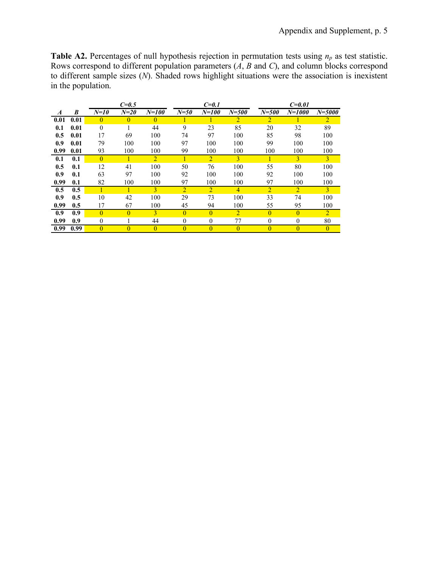**Table A2.** Percentages of null hypothesis rejection in permutation tests using  $n_p$  as test statistic. Rows correspond to different population parameters (*A*, *B* and *C*), and column blocks correspond to different sample sizes (*N*). Shaded rows highlight situations were the association is inexistent in the population.

|                  |      |                | $C=0.5$        |                |                    | $C=0.1$        |                |                | $C=0.01$       |                |
|------------------|------|----------------|----------------|----------------|--------------------|----------------|----------------|----------------|----------------|----------------|
| $\boldsymbol{A}$ | B    | $N=10$         | $N=20$         | $N = 100$      | $\overline{N}$ =50 | $N = 100$      | $N = 500$      | $N = 500$      | $N = 1000$     | $N = 5000$     |
| 0.01             | 0.01 | $\theta$       | $\theta$       | $\theta$       |                    |                | $\overline{2}$ | $\overline{2}$ |                | $\overline{2}$ |
| 0.1              | 0.01 | $\theta$       |                | 44             | 9                  | 23             | 85             | 20             | 32             | 89             |
| 0.5              | 0.01 | 17             | 69             | 100            | 74                 | 97             | 100            | 85             | 98             | 100            |
| 0.9              | 0.01 | 79             | 100            | 100            | 97                 | 100            | 100            | 99             | 100            | 100            |
| 0.99             | 0.01 | 93             | 100            | 100            | 99                 | 100            | 100            | 100            | 100            | 100            |
| 0.1              | 0.1  | $\overline{0}$ |                | $\overline{2}$ |                    | $\overline{2}$ | 3              |                | $\overline{3}$ | 3              |
| 0.5              | 0.1  | 12             | 41             | 100            | 50                 | 76             | 100            | 55             | 80             | 100            |
| 0.9              | 0.1  | 63             | 97             | 100            | 92                 | 100            | 100            | 92             | 100            | 100            |
| 0.99             | 0.1  | 82             | 100            | 100            | 97                 | 100            | 100            | 97             | 100            | 100            |
| 0.5              | 0.5  |                |                | $\overline{3}$ | $\overline{2}$     | $\overline{2}$ | $\overline{4}$ | $\overline{2}$ | $\overline{2}$ | 3              |
| 0.9              | 0.5  | 10             | 42             | 100            | 29                 | 73             | 100            | 33             | 74             | 100            |
| 0.99             | 0.5  | 17             | 67             | 100            | 45                 | 94             | 100            | 55             | 95             | 100            |
| 0.9              | 0.9  | $\theta$       | $\overline{0}$ | $\overline{3}$ | $\overline{0}$     | $\theta$       | $\overline{2}$ | $\theta$       | $\overline{0}$ | $\overline{2}$ |
| 0.99             | 0.9  | $\theta$       |                | 44             | $\overline{0}$     | $\theta$       | 77             | $\mathbf{0}$   | $\theta$       | 80             |
| 0.99             | 0.99 | $\theta$       | $\overline{0}$ | $\theta$       | $\overline{0}$     | $\theta$       | $\theta$       | $\overline{0}$ | $\overline{0}$ | $\overline{0}$ |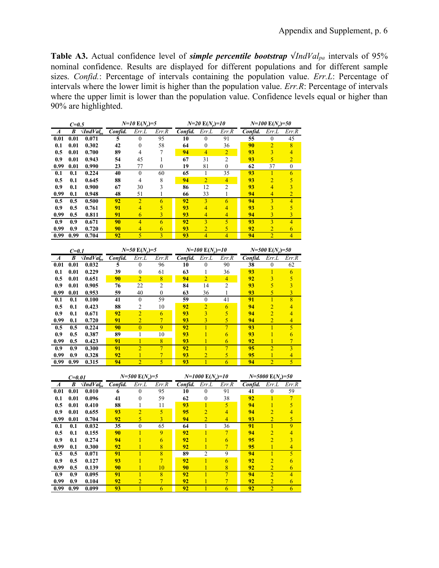**Table A3.** Actual confidence level of *simple percentile bootstrap* √*IndValpa* intervals of 95% nominal confidence. Results are displayed for different populations and for different sample sizes. *Confid.*: Percentage of intervals containing the population value. *Err.L*: Percentage of intervals where the lower limit is higher than the population value. *Err.R*: Percentage of intervals where the upper limit is lower than the population value. Confidence levels equal or higher than 90% are highlighted.

|                  | $C=0.5$ |                                |         | $N=10 \text{ E}(N_p)=5$ |       |         | $N=20$ E(N <sub>p</sub> )=10 |                | $N=100$ E(N <sub>p</sub> )=50 |                |                |  |
|------------------|---------|--------------------------------|---------|-------------------------|-------|---------|------------------------------|----------------|-------------------------------|----------------|----------------|--|
| $\boldsymbol{A}$ | B       | $\sqrt{I}$ ndVal <sub>va</sub> | Confid. | Err.L                   | Err.R | Confid. | Err.L                        | Err.R          | Confid.                       | Err.L          | Err.R          |  |
| 0.01             | 0.01    | 0.071                          | 5       | 0                       | 95    | 10      | 0                            | 91             | 55                            | $\theta$       | 45             |  |
| 0.1              | 0.01    | 0.302                          | 42      | $\theta$                | 58    | 64      | $\mathbf{0}$                 | 36             | 90                            | $\overline{2}$ | 8              |  |
| 0.5              | 0.01    | 0.700                          | 89      | 4                       |       | 94      | 4                            | $\overline{2}$ | 93                            | 3              | 4              |  |
| 0.9              | 0.01    | 0.943                          | 54      | 45                      |       | 67      | 31                           | $\overline{c}$ | 93                            | 5              | $\overline{2}$ |  |
| 0.99             | 0.01    | 0.990                          | 23      | 77                      | 0     | 19      | 81                           | $\theta$       | 62                            | 37             | $\mathbf{0}$   |  |
| 0.1              | 0.1     | 0.224                          | 40      | $\theta$                | 60    | 65      |                              | 35             | 93                            |                | 6              |  |
| 0.5              | 0.1     | 0.645                          | 88      | 4                       | 8     | 94      | $\overline{2}$               | $\overline{4}$ | 93                            | $\overline{2}$ |                |  |
| 0.9              | 0.1     | 0.900                          | 67      | 30                      | 3     | 86      | 12                           | $\overline{c}$ | 93                            | 4              | 3              |  |
| 0.99             | 0.1     | 0.948                          | 48      | 51                      |       | 66      | 33                           |                | 94                            | $\overline{4}$ | $\overline{2}$ |  |
| 0.5              | 0.5     | 0.500                          | 92      | $\overline{2}$          | 6     | 92      | 3                            | 6              | 94                            | 3              | 4              |  |
| 0.9              | 0.5     | 0.761                          | 91      | 4                       |       | 93      | 4                            | 4              | 93                            | 3              | 5              |  |
| 0.99             | 0.5     | 0.811                          | 91      | 6                       | 3     | 93      | 4                            | $\overline{4}$ | 94                            | 3              | 3              |  |
| 0.9              | 0.9     | 0.671                          | 90      | 4                       | 6     | 92      | 3                            | 5              | 93                            | 3              | $\overline{4}$ |  |
| 0.99             | 0.9     | 0.720                          | 90      | 4                       | 6     | 93      | $\overline{2}$               | 5              | 92                            | $\overline{2}$ | 6              |  |
| 0.99             | 0.99    | 0.704                          | 92      | 5                       | 3     | 93      | 4                            | 4              | 94                            | $\overline{2}$ | 4              |  |

|      | $C=0.1$ |                      |         | $N=50$ E(N <sub>n</sub> )=5 |                |         | $N=100$ E(N <sub>n</sub> )=10 |                    | $N=500$ E(N <sub>p</sub> )=50 |                |       |  |
|------|---------|----------------------|---------|-----------------------------|----------------|---------|-------------------------------|--------------------|-------------------------------|----------------|-------|--|
|      | B       | $\sqrt{IndVal}_{pa}$ | Confid. | Err.L                       | Err.R          | Confid. | Err.L                         | Err.R              | Confid.                       | Err.L          | Err.R |  |
| 0.01 | 0.01    | 0.032                | 5       | $\Omega$                    | 96             | 10      | 0                             | 90                 | 38                            | $\theta$       | 62    |  |
| 0.1  | 0.01    | 0.229                | 39      | $\Omega$                    | 61             | 63      |                               | 36                 | 93                            |                | 6     |  |
| 0.5  | 0.01    | 0.651                | 90      | $\overline{2}$              | 8              | 94      | $\overline{2}$                | $\overline{4}$     | 92                            | 3              | 5     |  |
| 0.9  | 0.01    | 0.905                | 76      | 22                          | $\mathfrak{D}$ | 84      | 14                            | $\mathfrak{D}_{1}$ | 93                            | 5              | 3     |  |
| 0.99 | 0.01    | 0.953                | 59      | 40                          | 0              | 63      | 36                            |                    | 93                            | 5              | 3     |  |
| 0.1  | 0.1     | 0.100                | 41      | $\Omega$                    | 59             | 59      | $\theta$                      | 41                 | 91                            |                | 8     |  |
| 0.5  | 0.1     | 0.423                | 88      | $\overline{c}$              | 10             | 92      | $\overline{2}$                | 6                  | 94                            | $\overline{2}$ | 4     |  |
| 0.9  | 0.1     | 0.671                | 92      | $\overline{2}$              | 6              | 93      | 3                             |                    | 94                            | $\overline{2}$ | 4     |  |
| 0.99 | 0.1     | 0.720                | 91      | $\overline{2}$              | 7              | 93      | 3                             | 5                  | 94                            | $\overline{2}$ | 4     |  |
| 0.5  | 0.5     | 0.224                | 90      | $\Omega$                    | 9              | 92      |                               | 7                  | 93                            |                | 5     |  |
| 0.9  | 0.5     | 0.387                | 89      |                             | 10             | 93      |                               | 6                  | 93                            |                | 6     |  |
| 0.99 | 0.5     | 0.423                | 91      |                             | 8              | 93      |                               | 6                  | 92                            |                |       |  |
| 0.9  | 0.9     | 0.300                | 91      | $\overline{2}$              |                | 92      |                               | 7                  | 95                            | $\overline{2}$ | 3     |  |
| 0.99 | 0.9     | 0.328                | 92      |                             |                | 93      | $\overline{2}$                | 5                  | 95                            |                | 4     |  |
| 0.99 | 0.99    | 0.315                | 94      | $\overline{2}$              | 5              | 93      |                               | 6                  | 94                            | $\overline{2}$ | 5     |  |

|                  | $C = 0.01$ |                      |         | $N=500$ E(N <sub>p</sub> )=5 |       |         | $N=1000 \text{ E}(N_p)=10$ |       | $N=5000 \text{ E}(N_p)=50$ |                |       |  |
|------------------|------------|----------------------|---------|------------------------------|-------|---------|----------------------------|-------|----------------------------|----------------|-------|--|
| $\boldsymbol{A}$ | B          | $\sqrt{IndVal}_{oa}$ | Confid. | Err.L                        | Err.R | Confid. | Err.L                      | Err.R | Confid.                    | Err.L          | Err.R |  |
| 0.01             | 0.01       | 0.010                | 6       | $\theta$                     | 95    | 10      | $\theta$                   | 91    | 41                         | $\theta$       | 59    |  |
| 0.1              | 0.01       | 0.096                | 41      | $\Omega$                     | 59    | 62      | $\theta$                   | 38    | 92                         |                | 7     |  |
| 0.5              | 0.01       | 0.410                | 88      |                              | 11    | 93      |                            | 5     | 94                         |                |       |  |
| 0.9              | 0.01       | 0.655                | 93      | $\overline{2}$               | 5     | 95      | $\overline{2}$             | 4     | 94                         | $\overline{2}$ |       |  |
| 0.99             | 0.01       | 0.704                | 92      | 5                            | 3     | 94      | 2                          | 4     | 93                         | $\overline{2}$ | 5     |  |
| 0.1              | 0.1        | 0.032                | 35      | $\Omega$                     | 65    | 64      |                            | 36    | 91                         |                | 9     |  |
| 0.5              | 0.1        | 0.155                | 90      |                              | 9     | 92      |                            |       | 94                         | 2              | 4     |  |
| 0.9              | 0.1        | 0.274                | 94      |                              | 6     | 92      |                            | 6     | 95                         | $\overline{2}$ | 3     |  |
| 0.99             | 0.1        | 0.300                | 92      |                              | 8     | 92      |                            |       | 95                         |                | 4     |  |
| 0.5              | 0.5        | 0.071                | 91      |                              | 8     | 89      | 2                          | 9     | 94                         |                | 5     |  |
| 0.9              | 0.5        | 0.127                | 93      |                              |       | 92      |                            | 6     | 92                         | $\overline{2}$ | 6     |  |
| 0.99             | 0.5        | 0.139                | 90      |                              | 10    | 90      |                            | 8     | 92                         | $\overline{2}$ | 6     |  |
| 0.9              | 0.9        | 0.095                | 91      |                              | 8     | 92      |                            | 7     | 94                         | $\overline{2}$ | 4     |  |
| 0.99             | 0.9        | 0.104                | 92      | $\overline{2}$               | 7     | 92      |                            |       | 92                         | $\overline{2}$ | 6     |  |
| 0.99             | 0.99       | 0.099                | 93      |                              | 6     | 92      |                            | 6     | 92                         | $\overline{2}$ | 6     |  |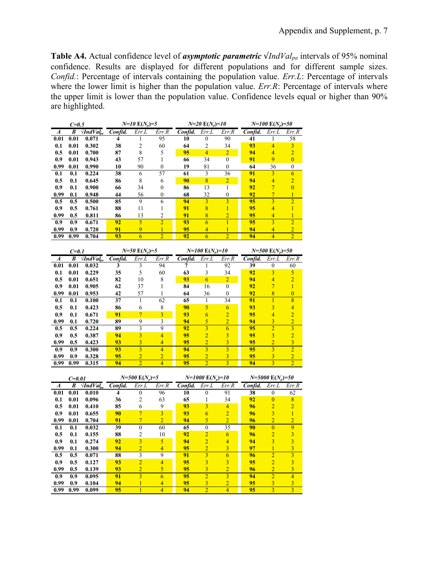**Table A4.** Actual confidence level of *asymptotic parametric* √*IndValpa* intervals of 95% nominal confidence. Results are displayed for different populations and for different sample sizes. *Confid.*: Percentage of intervals containing the population value. *Err.L*: Percentage of intervals where the lower limit is higher than the population value. *Err.R*: Percentage of intervals where the upper limit is lower than the population value. Confidence levels equal or higher than 90% are highlighted.

|      | $C=0.5$<br>B<br>$\boldsymbol{A}$ |                      | $N=10$ E(N <sub>n</sub> )=5 |                |                | $N=20$ E(N <sub>n</sub> )=10 |                |                | $N=100$ E(N <sub>n</sub> )=50 |                          |                |
|------|----------------------------------|----------------------|-----------------------------|----------------|----------------|------------------------------|----------------|----------------|-------------------------------|--------------------------|----------------|
|      |                                  | $\sqrt{IndVal}_{pa}$ | Confid.                     | Err.L          | Err.R          | Confid.                      | Err.L          | Err.R          | Confid.                       | Err.L                    | Err.R          |
| 0.01 | 0.01                             | 0.071                |                             |                | 95             | 10                           | $\theta$       | 90             | 41                            |                          | 58             |
| 0.1  | 0.01                             | 0.302                | 38                          | $\overline{c}$ | 60             | 64                           | 2              | 34             | 93                            | $\overline{4}$           | 3              |
| 0.5  | 0.01                             | 0.700                | 87                          | 8              |                | 95                           | $\overline{4}$ | $\overline{2}$ | 94                            | $\overline{4}$           | $\overline{2}$ |
| 0.9  | 0.01                             | 0.943                | 43                          | 57             |                | 66                           | 34             | $\mathbf{0}$   | 91                            | 9                        | $\overline{0}$ |
| 0.99 | 0.01                             | 0.990                | 10                          | 90             | 0              | 19                           | 81             | 0              | 64                            | 36                       | $\Omega$       |
| 0.1  | 0.1                              | 0.224                | 38                          | 6              | 57             | 61                           | 3              | 36             | 91                            | $\overline{\mathcal{L}}$ | 6              |
| 0.5  | 0.1                              | 0.645                | 86                          | 8              | 6              | 90                           | 8              | $\overline{2}$ | 94                            | 4                        | $\overline{2}$ |
| 0.9  | 0.1                              | 0.900                | 66                          | 34             | 0              | 86                           | 13             |                | 92                            | 7                        | $\overline{0}$ |
| 0.99 | 0.1                              | 0.948                | 44                          | 56             | 0              | 68                           | 32             | $\theta$       | 92                            |                          |                |
| 0.5  | 0.5                              | 0.500                | 85                          | 9              | 6              | 94                           | 3              | 3              | 95                            | 3                        | $\overline{2}$ |
| 0.9  | 0.5                              | 0.761                | 88                          | 11             |                | 91                           | 8              |                | 95                            | $\overline{4}$           |                |
| 0.99 | 0.5                              | 0.811                | 86                          | 13             | 2              | 91                           | 8              | 2              | 95                            | $\overline{4}$           |                |
| 0.9  | 0.9                              | 0.671                | 92                          | 5              | $\overline{2}$ | 93                           | 6              |                | 95                            | 3                        | $\overline{2}$ |
| 0.99 | 0.9                              | 0.720                | 91                          | 9              |                | 95                           | $\overline{4}$ |                | 94                            | $\overline{4}$           | $\overline{2}$ |
| 0.99 | 0.99                             | 0.704                | 93                          | 6              | $\overline{2}$ | 92                           | 6              | 2              | 94                            | $\overline{4}$           | $\overline{2}$ |

|      | $C=0.1$ |                      | $N=50$ E(N <sub>p</sub> )=5 |                |                | $N=100 \text{ E}(N_p)=10$ |                |                | $N=500$ E(N <sub>p</sub> )=50 |                |                          |  |
|------|---------|----------------------|-----------------------------|----------------|----------------|---------------------------|----------------|----------------|-------------------------------|----------------|--------------------------|--|
|      | B       | $\sqrt{IndVal}_{pa}$ | Confid.                     | Err.L          | Err.R          | Confid.                   | Err.L          | Err.R          | Confid.                       | Err.L          | Err.R                    |  |
| 0.01 | 0.01    | 0.032                | 3                           | 3              | 94             |                           |                | 92             | 39                            | $\theta$       | 60                       |  |
| 0.1  | 0.01    | 0.229                | 35                          | 5              | 60             | 63                        | 3              | 34             | 92                            | 3              | 5                        |  |
| 0.5  | 0.01    | 0.651                | 82                          | 10             | 8              | 93                        | 6              | $\overline{2}$ | 94                            | 4              | $\overline{2}$           |  |
| 0.9  | 0.01    | 0.905                | 62                          | 37             |                | 84                        | 16             | $\theta$       | 92                            | 7              |                          |  |
| 0.99 | 0.01    | 0.953                | 42                          | 57             |                | 64                        | 36             | $\Omega$       | 92                            | 8              | $\Omega$                 |  |
| 0.1  | 0.1     | 0.100                | 37                          |                | 62             | 65                        |                | 34             | 91                            | 1              | 8                        |  |
| 0.5  | 0.1     | 0.423                | 86                          | 6              | 8              | 90                        | 5              | 6              | 93                            | 3              | 4                        |  |
| 0.9  | 0.1     | 0.671                | 91                          | 7              | 3              | 93                        | 6              | $\overline{2}$ | 95                            | 4              | 2                        |  |
| 0.99 | 0.1     | 0.720                | 89                          | 9              | 3              | 94                        | 5              | $\overline{2}$ | 94                            | 3              | $\overline{2}$           |  |
| 0.5  | 0.5     | 0.224                | 89                          | 3              | 9              | 92                        | 3              | 6              | 95                            | $\overline{2}$ | 3                        |  |
| 0.9  | 0.5     | 0.387                | 94                          | 3              | $\overline{4}$ | 95                        | $\overline{2}$ | 3              | 95                            | 3              | $\overline{\mathcal{L}}$ |  |
| 0.99 | 0.5     | 0.423                | 93                          | 3              | 4              | 95                        | $\overline{2}$ | 3              | 95                            | 2              | 3                        |  |
| 0.9  | 0.9     | 0.300                | 93                          | 3              | $\overline{4}$ | 94                        | 3              | 3              | 95                            | 3              | $\overline{2}$           |  |
| 0.99 | 0.9     | 0.328                | 95                          | 2              | $\overline{2}$ | 95                        | $\overline{2}$ | 3              | 95                            | 3              | 2                        |  |
| 0.99 | 0.99    | 0.315                | 94                          | $\overline{2}$ | $\overline{4}$ | 95                        | $\overline{2}$ | $3^{\circ}$    | 94                            | 3              | 2                        |  |

|      | $C = 0.01$ |                      | $N=500$ E(N <sub>p</sub> )=5 |                  |                | $N=1000 \text{ E}(N_p)=10$ |                |                | $N=5000 \text{ E}(N_p)=50$ |                |                |
|------|------------|----------------------|------------------------------|------------------|----------------|----------------------------|----------------|----------------|----------------------------|----------------|----------------|
|      | B          | $\sqrt{IndVal}_{pa}$ | Confid.                      | Err.L            | Err.R          | Confid.                    | Err.L          | Err.R          | Confid.                    | Err.L          | Err.R          |
| 0.01 | 0.01       | 0.010                | 4                            | 0                | 96             | 10                         | $\theta$       | 91             | 38                         | 0              | 62             |
| 0.1  | 0.01       | 0.096                | 36                           | 2                | 63             | 65                         |                | 34             | 92                         | $\overline{0}$ | 8              |
| 0.5  | 0.01       | 0.410                | 85                           | 6                | 9              | 93                         | 3              | 4              | 96                         | $\overline{2}$ | $\overline{2}$ |
| 0.9  | 0.01       | 0.655                | 90                           | 7                | 3              | 93                         | 6              | $\overline{2}$ | 96                         | 3              |                |
| 0.99 | 0.01       | 0.704                | 91                           |                  | $\overline{2}$ | 94                         | 5              | 2              | 96                         | $\overline{2}$ | $\overline{2}$ |
| 0.1  | 0.1        | 0.032                | 39                           | $\boldsymbol{0}$ | 60             | 65                         | $\theta$       | 35             | 90                         | $\overline{0}$ | 9              |
| 0.5  | 0.1        | 0.155                | 88                           | 2                | 10             | 92                         | $\overline{2}$ | 6              | 96                         | $\overline{2}$ | 3              |
| 0.9  | 0.1        | 0.274                | 92                           | 3                | 5              | 94                         | $\overline{2}$ | 4              | 94                         | 3              | 3              |
| 0.99 | 0.1        | 0.300                | 94                           | 2                | $\overline{4}$ | 95                         | $\overline{2}$ | 3              | 97                         |                | 3              |
| 0.5  | 0.5        | 0.071                | 88                           | 3                | 9              | 91                         | 3              | 6              | 96                         | $\overline{2}$ | 3              |
| 0.9  | 0.5        | 0.127                | 93                           | $\overline{2}$   | $\overline{4}$ | 95                         | 3              | 3              | 95                         | $\overline{2}$ |                |
| 0.99 | 0.5        | 0.139                | 93                           | 2                | 5              | 95                         | 3              | $\overline{2}$ | 96                         | $\overline{2}$ | 3              |
| 0.9  | 0.9        | 0.095                | 91                           | 3                | 6              | 95                         | $\overline{2}$ | 3              | 94                         | $\overline{2}$ | $\overline{4}$ |
| 0.99 | 0.9        | 0.104                | 94                           |                  | 4              | 95                         | 3              | $\overline{2}$ | 95                         | 3              | 3              |
| 0.99 | 0.99       | 0.099                | 95                           |                  | 4              | 94                         | $\overline{2}$ | 4              | 95                         | 3              | 3              |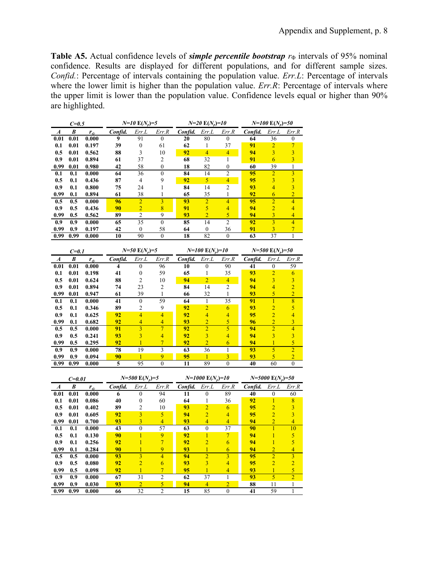**Table A5.** Actual confidence levels of *simple percentile bootstrap*  $r_{\Phi}$  intervals of 95% nominal confidence. Results are displayed for different populations, and for different sample sizes. *Confid.*: Percentage of intervals containing the population value. *Err.L*: Percentage of intervals where the lower limit is higher than the population value. *Err.R*: Percentage of intervals where the upper limit is lower than the population value. Confidence levels equal or higher than 90% are highlighted.

|                  | $C=0.5$ |            | $N=10$ E(N <sub>p</sub> )=5 |                |               | $N=20$ E(N <sub>p</sub> )=10 |                |                  | $N=100$ E(N <sub>p</sub> )=50 |                |                |  |
|------------------|---------|------------|-----------------------------|----------------|---------------|------------------------------|----------------|------------------|-------------------------------|----------------|----------------|--|
| $\boldsymbol{A}$ | B       | $r_{\phi}$ | Confid.                     | Err.L          | Err.R         | Confid.                      | Err.L          | Err.R            | Confid.                       | Err.L          | Err.R          |  |
| 0.01             | 0.01    | 0.000      | 9                           | 91             | $\Omega$      | 20                           | 80             | 0                | 64                            | 36             | $\theta$       |  |
| 0.1              | 0.01    | 0.197      | 39                          | $\mathbf{0}$   | 61            | 62                           |                | 37               | 91                            | $\overline{2}$ |                |  |
| 0.5              | 0.01    | 0.562      | 88                          | 3              | 10            | 92                           | $\overline{4}$ | 4                | 94                            | 3              | 3              |  |
| 0.9              | 0.01    | 0.894      | 61                          | 37             | $\mathcal{L}$ | 68                           | 32             |                  | 91                            | 6              | 3              |  |
| 0.99             | 0.01    | 0.980      | 42                          | 58             | $\Omega$      | 18                           | 82             | $\boldsymbol{0}$ | 60                            | 39             |                |  |
| 0.1              | 0.1     | 0.000      | 64                          | 36             | $\Omega$      | 84                           | 14             | 2                | 95                            | $\overline{2}$ | 3              |  |
| 0.5              | 0.1     | 0.436      | 87                          | 4              | 9             | 92                           | 5              | 4                | 95                            | 3              |                |  |
| 0.9              | 0.1     | 0.800      | 75                          | 24             |               | 84                           | 14             | $\overline{2}$   | 93                            | 4              |                |  |
| 0.99             | 0.1     | 0.894      | 61                          | 38             |               | 65                           | 35             |                  | 92                            | 6              | $\overline{2}$ |  |
| 0.5              | 0.5     | 0.000      | 96                          | $\overline{2}$ | 3             | 93                           | $\overline{2}$ | 4                | 95                            | $\overline{2}$ | $\overline{4}$ |  |
| 0.9              | 0.5     | 0.436      | 90                          | $\overline{2}$ | 8             | 91                           | 5              | 4                | 94                            | $\overline{2}$ | 4              |  |
| 0.99             | 0.5     | 0.562      | 89                          | 2              | 9             | 93                           | $\overline{2}$ | 5                | 94                            | 3              | $\overline{4}$ |  |
| 0.9              | 0.9     | 0.000      | 65                          | 35             | $\Omega$      | 85                           | 14             | $\overline{c}$   | 92                            | 3              | 4              |  |
| 0.99             | 0.9     | 0.197      | 42                          | $\Omega$       | 58            | 64                           | $\Omega$       | 36               | 91                            | 3              |                |  |
| 0.99             | 0.99    | 0.000      | 10                          | 90             | $\theta$      | 18                           | 82             | $\mathbf{0}$     | 63                            | 37             |                |  |

|                  | $C=0.1$ |            | $N=50$ E(N <sub>p</sub> )=5 |                |                | $N=100 \text{ E}(N_p)=10$ |                |                | $N=500$ E(N <sub>p</sub> )=50 |                |                |
|------------------|---------|------------|-----------------------------|----------------|----------------|---------------------------|----------------|----------------|-------------------------------|----------------|----------------|
| $\boldsymbol{A}$ | B       | $r_{\Phi}$ | Confid.                     | Err.L          | Err.R          | Confid.                   | Err.L          | Err.R          | Confid.                       | Err.L          | Err.R          |
| 0.01             | 0.01    | 0.000      | 4                           | $\Omega$       | 96             | 10                        | $\theta$       | 90             | 41                            | $\theta$       | 59             |
| 0.1              | 0.01    | 0.198      | 41                          | $\Omega$       | 59             | 65                        |                | 35             | 93                            | $\overline{2}$ | 6              |
| 0.5              | 0.01    | 0.624      | 88                          | 2              | 10             | 94                        | $\overline{2}$ | $\overline{4}$ | 94                            | 3              | 3              |
| 0.9              | 0.01    | 0.894      | 74                          | 23             | 2              | 84                        | 14             | $\overline{2}$ | 94                            | 4              | $\overline{2}$ |
| 0.99             | 0.01    | 0.947      | 61                          | 39             |                | 66                        | 32             |                | 93                            | 5              | $\overline{2}$ |
| 0.1              | 0.1     | 0.000      | 41                          | $\Omega$       | 59             | 64                        |                | 35             | 91                            |                | $\overline{8}$ |
| 0.5              | 0.1     | 0.346      | 89                          | 2              | 9              | 92                        | $\overline{2}$ | 6              | 93                            | $\overline{2}$ | 5              |
| 0.9              | 0.1     | 0.625      | 92                          | $\overline{4}$ | $\overline{4}$ | 92                        | 4              | $\overline{4}$ | 95                            | $\overline{2}$ | 4              |
| 0.99             | 0.1     | 0.682      | 92                          | 4              | 4              | 93                        | $\overline{2}$ | 5              | 96                            | $\overline{2}$ | 3              |
| 0.5              | 0.5     | 0.000      | 91                          | 3              | 7              | 92                        | $\overline{2}$ | 5              | 94                            | 2              | $\overline{4}$ |
| 0.9              | 0.5     | 0.241      | 93                          | 3              | 4              | 92                        | 3              | 4              | 94                            | 3              | 3              |
| 0.99             | 0.5     | 0.295      | 92                          |                |                | 92                        | $\overline{2}$ | 6              | 94                            |                | 5              |
| 0.9              | 0.9     | 0.000      | 78                          | 19             | 3              | 63                        | 36             |                | 93                            | 5              | $\overline{2}$ |
| 0.99             | 0.9     | 0.094      | 90                          |                | 9              | 95                        |                | 3              | 93                            | 5              | $\overline{2}$ |
| 0.99             | 0.99    | 0.000      | 5                           | 95             | $\theta$       | 11                        | 89             | $\theta$       | 40                            | 60             | $\mathbf{0}$   |

|                  | $C = 0.01$ |            | $N=500$ E(N <sub>n</sub> )=5 |                |       | $N=1000 \text{ E}(N_n)=10$ |                |                | $N=5000 \text{ E}(N_p)=50$ |                |                |
|------------------|------------|------------|------------------------------|----------------|-------|----------------------------|----------------|----------------|----------------------------|----------------|----------------|
| $\boldsymbol{A}$ | B          | $r_{\phi}$ | Confid.                      | Err.L          | Err.R | Confid.                    | Err.L          | Err.R          | Confid.                    | Err.L          | Err.R          |
| 0.01             | 0.01       | 0.000      | 6                            | $\Omega$       | 94    | 11                         | $\bf{0}$       | 89             | 40                         | $\theta$       | 60             |
| 0.1              | 0.01       | 0.086      | 40                           | $\Omega$       | 60    | 64                         |                | 36             | 92                         |                | 8              |
| 0.5              | 0.01       | 0.402      | 89                           | 2              | 10    | 93                         | $\overline{2}$ | 6              | 95                         | $\overline{2}$ | 3              |
| 0.9              | 0.01       | 0.605      | 92                           | 3              | 5     | 94                         | $\overline{2}$ | 4              | 95                         | $\overline{2}$ | 3              |
| 0.99             | 0.01       | 0.700      | 93                           | 3              | 4     | 93                         | 4              | 4              | 94                         | $\overline{2}$ | $\overline{4}$ |
| 0.1              | 0.1        | 0.000      | 43                           | $\theta$       | 57    | 63                         | $\theta$       | 37             | 90                         |                | 10             |
| 0.5              | 0.1        | 0.130      | 90                           |                | 9     | 92                         |                | 7              | 94                         |                | 5              |
| 0.9              | 0.1        | 0.256      | 92                           |                |       | 92                         | $\overline{2}$ | 6              | 94                         |                | 5              |
| 0.99             | 0.1        | 0.284      | 90                           |                | 9     | 93                         |                | 6              | 94                         | $\overline{2}$ | 4              |
| 0.5              | 0.5        | 0.000      | 93                           | 3              | 4     | 94                         | $\overline{2}$ | 3              | 95                         | $\overline{2}$ | 3              |
| 0.9              | 0.5        | 0.080      | 92                           | $\overline{2}$ | 6     | 93                         | 3              | $\overline{4}$ | 95                         | $\overline{2}$ | $\overline{2}$ |
| 0.99             | 0.5        | 0.098      | 92                           |                |       | 95                         |                | 4              | 93                         |                | 5              |
| 0.9              | 0.9        | 0.000      | 67                           | 31             | 2     | 62                         | 37             |                | 93                         | 5              | $\overline{2}$ |
| 0.99             | 0.9        | 0.030      | 93                           | $\overline{2}$ | 5     | 94                         | 4              | $\overline{2}$ | 88                         | 11             |                |
| 0.99             | 0.99       | 0.000      | 66                           | 32             | 2     | 15                         | 85             | $\mathbf{0}$   | 41                         | 59             |                |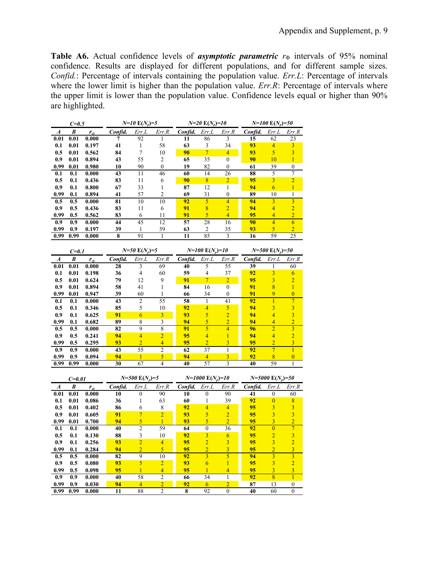**Table A6.** Actual confidence levels of *asymptotic parametric r*φ intervals of 95% nominal confidence. Results are displayed for different populations, and for different sample sizes. *Confid.*: Percentage of intervals containing the population value. *Err.L*: Percentage of intervals where the lower limit is higher than the population value. *Err.R*: Percentage of intervals where the upper limit is lower than the population value. Confidence levels equal or higher than 90% are highlighted.

|      | $C=0.5$<br>B<br>$\boldsymbol{A}$<br>$r_{\phi}$ |       | $N=10$ E(N <sub>p</sub> )=5 |       |       | $N=20$ E(N <sub>p</sub> )=10 |                |                  | $N=100$ E(N <sub>p</sub> )=50 |                |                  |  |
|------|------------------------------------------------|-------|-----------------------------|-------|-------|------------------------------|----------------|------------------|-------------------------------|----------------|------------------|--|
|      |                                                |       | Confid.                     | Err.L | Err.R | Confid.                      | Err.L          | Err.R            | Confid.                       | Err.L          | Err.R            |  |
| 0.01 | 0.01                                           | 0.000 |                             | 92    |       | 11                           | 86             | 3                | 15                            | 62             | 23               |  |
| 0.1  | 0.01                                           | 0.197 | 41                          |       | 58    | 63                           | 3              | 34               | 93                            | $\overline{4}$ | 3                |  |
| 0.5  | 0.01                                           | 0.562 | 84                          |       | 10    | 90                           | $7\phantom{.}$ | 4                | 93                            | 5              | 3                |  |
| 0.9  | 0.01                                           | 0.894 | 43                          | 55    | 2     | 65                           | 35             | $\theta$         | 90                            | 10             |                  |  |
| 0.99 | 0.01                                           | 0.980 | 10                          | 90    | 0     | 19                           | 82             | $\boldsymbol{0}$ | 61                            | 39             | $\boldsymbol{0}$ |  |
| 0.1  | 0.1                                            | 0.000 | 43                          | 11    | 46    | 60                           | 14             | 26               | 88                            | 5              |                  |  |
| 0.5  | 0.1                                            | 0.436 | 83                          | 11    | 6     | 90                           | 8              | $\overline{2}$   | 95                            | 3              | $\overline{2}$   |  |
| 0.9  | 0.1                                            | 0.800 | 67                          | 33    |       | 87                           | 12             |                  | 94                            | 6              |                  |  |
| 0.99 | 0.1                                            | 0.894 | 41                          | 57    | 2     | 69                           | 31             | $\theta$         | 89                            | 10             |                  |  |
| 0.5  | 0.5                                            | 0.000 | 81                          | 10    | 10    | 92                           | 5              | 4                | 94                            | 3              | 3                |  |
| 0.9  | 0.5                                            | 0.436 | 83                          | 11    | 6     | 91                           | 8              | $\overline{2}$   | 94                            | 4              | $\overline{2}$   |  |
| 0.99 | 0.5                                            | 0.562 | 83                          | 6     | 11    | 91                           | 5              | 4                | 95                            | $\overline{4}$ | $\overline{2}$   |  |
| 0.9  | 0.9                                            | 0.000 | 44                          | 45    | 12    | 57                           | 28             | 16               | 90                            | 4              | 6                |  |
| 0.99 | 0.9                                            | 0.197 | 39                          |       | 59    | 63                           | 2              | 35               | 93                            | 5              | $\overline{2}$   |  |
| 0.99 | 0.99                                           | 0.000 | 8                           | 91    |       | 11                           | 85             | 3                | 16                            | 59             | 25               |  |

|                  | $C=0.1$ |            | $N=50$ E(N <sub>p</sub> )=5 |                |                | $N=100 \text{ E}(N_p)=10$ |                |                | $N=500$ E(N <sub>p</sub> )=50 |                |                |  |
|------------------|---------|------------|-----------------------------|----------------|----------------|---------------------------|----------------|----------------|-------------------------------|----------------|----------------|--|
| $\boldsymbol{A}$ | B       | $r_{\Phi}$ | Confid.                     | Err.L          | Err.R          | Confid.                   | Err.L          | Err.R          | Confid.                       | Err.L          | Err.R          |  |
| 0.01             | 0.01    | 0.000      | 28                          | 3              | 69             | 40                        | 5              | 55             | 39                            |                | 60             |  |
| 0.1              | 0.01    | 0.198      | 36                          | 4              | 60             | 59                        | 4              | 37             | 92                            | 3              | 6              |  |
| 0.5              | 0.01    | 0.624      | 79                          | 12             | 9              | 91                        | 7              | $\overline{2}$ | 95                            | 3              | $\overline{2}$ |  |
| 0.9              | 0.01    | 0.894      | 58                          | 41             |                | 84                        | 16             | $\theta$       | 91                            | 8              |                |  |
| 0.99             | 0.01    | 0.947      | 39                          | 60             |                | 66                        | 34             | $\mathbf{0}$   | 91                            | 9              | $\bf{0}$       |  |
| 0.1              | 0.1     | 0.000      | 43                          | $\overline{2}$ | 55             | 58                        |                | 41             | 92                            |                | 7              |  |
| 0.5              | 0.1     | 0.346      | 85                          | 5              | 10             | 92                        | 4              | 5              | 94                            | 3              | 3              |  |
| 0.9              | 0.1     | 0.625      | 91                          | 6              | 3              | 93                        | 5              | $\overline{2}$ | 94                            | 4              | 3              |  |
| 0.99             | 0.1     | 0.682      | 89                          | 8              | 3              | 94                        | 5              | $\overline{2}$ | 94                            | 4              | $\overline{2}$ |  |
| 0.5              | 0.5     | 0.000      | 82                          | 9              | 8              | 91                        | 5              | $\overline{4}$ | 96                            | 2              | 3              |  |
| 0.9              | 0.5     | 0.241      | 94                          | $\overline{4}$ | $\overline{2}$ | 95                        | $\overline{4}$ |                | 94                            | 4              | $\overline{2}$ |  |
| 0.99             | 0.5     | 0.295      | 93                          | $\overline{2}$ | 4              | 95                        | $\overline{2}$ | 3              | 95                            | $\overline{2}$ | 3              |  |
| 0.9              | 0.9     | 0.000      | 43                          | 55             | $\overline{c}$ | 62                        | 37             |                | 92                            | 7              |                |  |
| 0.99             | 0.9     | 0.094      | 94                          |                | 5              | 94                        | $\overline{4}$ | 3              | 92                            | 8              | $\overline{0}$ |  |
| 0.99             | 0.99    | 0.000      | 30                          | 67             | 4              | 40                        | 57             | 3              | 40                            | 59             |                |  |

|                  | $C = 0.01$ |            | $N=500$ E(N <sub>p</sub> )=5 |                |                | $N=1000 \text{ E}(N_p)=10$ |                |                | $N=5000$ E(N <sub>p</sub> )=50 |                |                |  |
|------------------|------------|------------|------------------------------|----------------|----------------|----------------------------|----------------|----------------|--------------------------------|----------------|----------------|--|
| $\boldsymbol{A}$ | B          | $r_{\phi}$ | Confid.                      | Err.L          | Err.R          | Confid.                    | Err.L          | Err.R          | Confid.                        | Err.L          | Err.R          |  |
| 0.01             | 0.01       | 0.000      | 10                           | $\Omega$       | 90             | 10                         | $\theta$       | 90             | 41                             | $\theta$       | 60             |  |
| 0.1              | 0.01       | 0.086      | 36                           |                | 63             | 60                         |                | 39             | 92                             | $\overline{0}$ | 8              |  |
| 0.5              | 0.01       | 0.402      | 86                           | 6              | 8              | 92                         | 4              | $\overline{4}$ | 95                             | 3              | 3              |  |
| 0.9              | 0.01       | 0.605      | 91                           |                | $\overline{2}$ | 93                         | 5              | $\overline{2}$ | 95                             | 3              | 3              |  |
| 0.99             | 0.01       | 0.700      | 94                           | 5              |                | 93                         | 5              | $\overline{2}$ | 95                             | 3              | $\overline{2}$ |  |
| 0.1              | 0.1        | 0.000      | 40                           | $\overline{2}$ | 59             | 64                         | $\theta$       | 36             | 92                             | $\overline{0}$ | 7              |  |
| 0.5              | 0.1        | 0.130      | 88                           | 3              | 10             | 92                         | 3              | 6              | 95                             | $\overline{2}$ | 3              |  |
| 0.9              | 0.1        | 0.256      | 93                           | $\overline{2}$ | $\overline{4}$ | 95                         | $\overline{2}$ | 3              | 95                             | 3              | $\overline{2}$ |  |
| 0.99             | 0.1        | 0.284      | 94                           | $\overline{2}$ | 5              | 95                         | $\overline{2}$ | 3              | 95                             | $\overline{2}$ | 3              |  |
| 0.5              | 0.5        | 0.000      | 82                           | 9              | 10             | 92                         | 3              | 5              | 94                             | 3              | 3              |  |
| 0.9              | 0.5        | 0.080      | 93                           | 5              | $\overline{2}$ | 93                         | 6              |                | 95                             | 3              | 2              |  |
| 0.99             | 0.5        | 0.098      | 95                           |                | 4              | 95                         |                | 4              | 95                             | 3              | 3              |  |
| 0.9              | 0.9        | 0.000      | 40                           | 58             | 2              | 66                         | 34             |                | 92                             | 8              |                |  |
| 0.99             | 0.9        | 0.030      | 94                           | $\overline{4}$ | $\overline{2}$ | 92                         | 6              | $\overline{2}$ | 87                             | 13             | $\mathbf{0}$   |  |
| 0.99             | 0.99       | 0.000      | 11                           | 88             | $\overline{c}$ | 8                          | 92             | $\theta$       | 40                             | 60             | $\theta$       |  |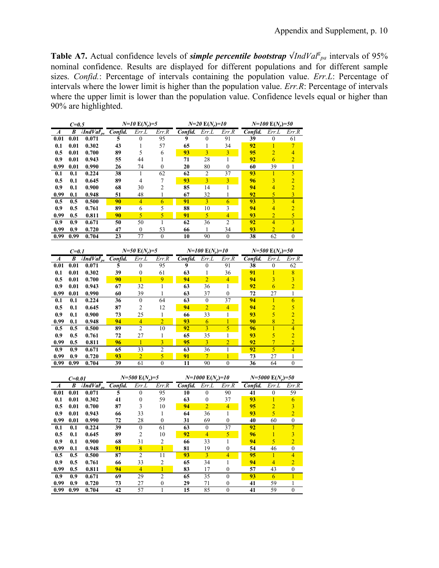**Table A7.** Actual confidence levels of *simple percentile bootstrap*  $\sqrt{IndVal^g}$  *pa* intervals of 95% nominal confidence. Results are displayed for different populations and for different sample sizes. *Confid.*: Percentage of intervals containing the population value. *Err.L*: Percentage of intervals where the lower limit is higher than the population value. *Err.R*: Percentage of intervals where the upper limit is lower than the population value. Confidence levels equal or higher than 90% are highlighted.

|                  | $C=0.5$ |                      | $N=10$ E(N <sub>n</sub> )=5 |          |          | $N=20$ E(N <sub>n</sub> )=10 |          |       | $N=100$ E(N <sub>n</sub> )=50 |                |                |
|------------------|---------|----------------------|-----------------------------|----------|----------|------------------------------|----------|-------|-------------------------------|----------------|----------------|
| $\boldsymbol{A}$ | B       | $\sqrt{IndVaF_{na}}$ | Confid.                     | Err.L    | Err.R    | Confid.                      | Err.L    | Err.R | Confid.                       | Err.L          | Err.R          |
| 0.01             | 0.01    | 0.071                | 5                           | $\theta$ | 95       | 9                            | $\theta$ | 91    | 39                            | $\theta$       | 61             |
| 0.1              | 0.01    | 0.302                | 43                          |          | 57       | 65                           |          | 34    | 92                            |                |                |
| 0.5              | 0.01    | 0.700                | 89                          |          | 6        | 93                           | 3        | 3     | 95                            | $\overline{2}$ | 4              |
| 0.9              | 0.01    | 0.943                | 55                          | 44       |          | 71                           | 28       |       | 92                            | 6              | $\overline{2}$ |
| 0.99             | 0.01    | 0.990                | 26                          | 74       | $\Omega$ | 20                           | 80       | 0     | 60                            | 39             |                |
| 0.1              | 0.1     | 0.224                | 38                          |          | 62       | 62                           | 2        | 37    | 93                            |                | 5              |
| 0.5              | 0.1     | 0.645                | 89                          | 4        |          | 93                           | 3        | 3     | 96                            | 3              | $\overline{2}$ |
| 0.9              | 0.1     | 0.900                | 68                          | 30       | 2        | 85                           | 14       |       | 94                            | $\overline{4}$ | $\overline{2}$ |
| 0.99             | 0.1     | 0.948                | 51                          | 48       |          | 67                           | 32       |       | 92                            | 5              | 3              |
| 0.5              | 0.5     | 0.500                | 90                          | 4        | 6        | 91                           | 3        | 6     | 93                            | 3              | $\overline{4}$ |
| 0.9              | 0.5     | 0.761                | 89                          | 6        | 5        | 88                           | 10       | 3     | 94                            | $\overline{4}$ | $\overline{2}$ |
| 0.99             | 0.5     | 0.811                | 90                          | 5        | 5        | 91                           | 5        | 4     | 93                            | $\overline{2}$ | 5              |
| 0.9              | 0.9     | 0.671                | 50                          | 50       |          | 62                           | 36       | 2     | 92                            | $\overline{4}$ | 3              |
| 0.99             | 0.9     | 0.720                | 47                          | $\Omega$ | 53       | 66                           |          | 34    | 93                            | $\overline{2}$ | 4              |
| 0.99             | 0.99    | 0.704                | 23                          | 77       | $\Omega$ | 10                           | 90       | 0     | 38                            | 62             | $\theta$       |

|                  | $C=0.1$ |                      | $N=50$ E(N <sub>p</sub> )=5 |                |                |         | $N=100$ E(N <sub>p</sub> )=10 |                | $N=500$ E(N <sub>p</sub> )=50 |          |                |
|------------------|---------|----------------------|-----------------------------|----------------|----------------|---------|-------------------------------|----------------|-------------------------------|----------|----------------|
| $\boldsymbol{A}$ | B       | $\sqrt{IndVaF}_{pa}$ | Confid.                     | Err.L          | Err.R          | Confid. | Err.L                         | Err.R          | Confid.                       | Err.L    | Err.R          |
| 0.01             | 0.01    | 0.071                | 5                           | $\Omega$       | 95             | 9       | 0                             | 91             | 38                            | $\bf{0}$ | 62             |
| 0.1              | 0.01    | 0.302                | 39                          | $\Omega$       | 61             | 63      |                               | 36             | 91                            |          | 8              |
| 0.5              | 0.01    | 0.700                | 90                          |                | 9              | 94      | $\overline{2}$                | $\overline{4}$ | 94                            | 3        | 3              |
| 0.9              | 0.01    | 0.943                | 67                          | 32             |                | 63      | 36                            |                | 92                            | 6        | $\overline{2}$ |
| 0.99             | 0.01    | 0.990                | 60                          | 39             |                | 63      | 37                            | $\Omega$       | 72                            | 27       |                |
| 0.1              | 0.1     | 0.224                | 36                          | $\Omega$       | 64             | 63      | $\boldsymbol{0}$              | 37             | 94                            |          | 6              |
| 0.5              | 0.1     | 0.645                | 87                          | 2              | 12             | 94      | $\overline{2}$                | $\overline{4}$ | 94                            | 2        | 5              |
| 0.9              | 0.1     | 0.900                | 73                          | 25             |                | 66      | 33                            |                | 93                            | 5        | $\overline{2}$ |
| 0.99             | 0.1     | 0.948                | 94                          | $\overline{4}$ | $\overline{2}$ | 93      | 6                             |                | 90                            | 8        | $\overline{2}$ |
| 0.5              | 0.5     | 0.500                | 89                          | $\mathcal{L}$  | 10             | 92      | 3                             | 5              | 96                            |          | $\overline{4}$ |
| 0.9              | 0.5     | 0.761                | 72                          | 27             |                | 65      | 35                            |                | 93                            | 5        | $\overline{2}$ |
| 0.99             | 0.5     | 0.811                | 96                          |                | 3              | 95      | $\overline{3}$                | $\overline{2}$ | 92                            |          | $\overline{2}$ |
| 0.9              | 0.9     | 0.671                | 65                          | 33             | 2              | 63      | 36                            |                | 92                            | 5        | $\overline{4}$ |
| 0.99             | 0.9     | 0.720                | 93                          | $\overline{2}$ | 5              | 91      | 7                             |                | 73                            | 27       |                |
| 0.99             | 0.99    | 0.704                | 39                          | 61             | $\theta$       | 11      | 90                            | $\mathbf{0}$   | 36                            | 64       | $\mathbf{0}$   |

|      | $C = 0.01$<br>B<br>$\boldsymbol{A}$ |                      | $N=500$ E(N <sub>p</sub> )=5 |                |                | $N=1000 \text{ E}(N_p)=10$ |                |                | $N=5000$ E(N <sub>p</sub> )=50 |                |                  |
|------|-------------------------------------|----------------------|------------------------------|----------------|----------------|----------------------------|----------------|----------------|--------------------------------|----------------|------------------|
|      |                                     | $\sqrt{IndVaF}_{pa}$ | Confid.                      | Err.L          | Err.R          | Confid.                    | Err.L          | Err.R          | Confid.                        | Err.L          | Err.R            |
| 0.01 | 0.01                                | 0.071                | 5                            | $\Omega$       | 95             | 10                         | $\theta$       | 90             | 41                             | $\Omega$       | 59               |
| 0.1  | 0.01                                | 0.302                | 41                           | $\Omega$       | 59             | 63                         | $\mathbf{0}$   | 37             | 93                             |                | 6                |
| 0.5  | 0.01                                | 0.700                | 87                           | 3              | 10             | 94                         | $\overline{2}$ | $\overline{4}$ | 95                             | $\overline{2}$ | 3                |
| 0.9  | 0.01                                | 0.943                | 66                           | 33             |                | 64                         | 36             |                | 93                             | 5              | $\overline{2}$   |
| 0.99 | 0.01                                | 0.990                | 72                           | 28             | 0              | 31                         | 69             | $\theta$       | 40                             | 60             | $\boldsymbol{0}$ |
| 0.1  | 0.1                                 | 0.224                | 39                           | $\Omega$       | 61             | 63                         | $\mathbf{0}$   | 37             | 92                             |                |                  |
| 0.5  | 0.1                                 | 0.645                | 89                           | 2              | 10             | 92                         | $\overline{4}$ | 5              | 96                             |                | 3                |
| 0.9  | 0.1                                 | 0.900                | 68                           | 31             | 2              | 66                         | 33             |                | 94                             | 5              | $\overline{2}$   |
| 0.99 | 0.1                                 | 0.948                | 91                           | 8              |                | 81                         | 19             | $\theta$       | 54                             | 46             | $\mathbf{0}$     |
| 0.5  | 0.5                                 | 0.500                | 87                           | $\overline{c}$ | 11             | 93                         | 3              | $\overline{4}$ | 95                             |                | $\overline{4}$   |
| 0.9  | 0.5                                 | 0.761                | 66                           | 33             | 2              | 65                         | 34             |                | 94                             | 4              | $\overline{2}$   |
| 0.99 | 0.5                                 | 0.811                | 94                           | $\overline{4}$ |                | 83                         | 17             | $\theta$       | 57                             | 43             | $\mathbf{0}$     |
| 0.9  | 0.9                                 | 0.671                | 69                           | 29             | $\overline{2}$ | 65                         | 35             | $\theta$       | 93                             | 6              |                  |
| 0.99 | 0.9                                 | 0.720                | 73                           | 27             | $\Omega$       | 29                         | 71             | $\theta$       | 41                             | 59             | 1                |
| 0.99 | 0.99                                | 0.704                | 42                           | 57             |                | 15                         | 85             | $\theta$       | 41                             | 59             | $\theta$         |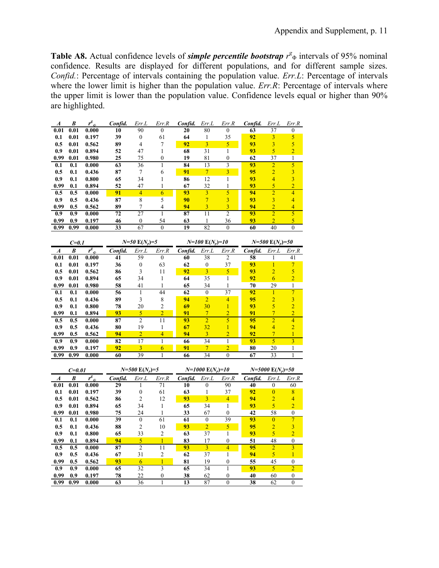**Table A8.** Actual confidence levels of *simple percentile bootstrap*  $r^g$ <sub>Φ</sub> intervals of 95% nominal confidence. Results are displayed for different populations, and for different sample sizes. *Confid.*: Percentage of intervals containing the population value. *Err.L*: Percentage of intervals where the lower limit is higher than the population value. *Err.R*: Percentage of intervals where the upper limit is lower than the population value. Confidence levels equal or higher than 90% are highlighted.

| $\boldsymbol{A}$ | B    | $r^g{}_{\phi}$ | Confid. | Err <sub>L</sub> | Err.R    | Confid. | Err.L             | Err.R          | Confid. | Err.L          | Err.R            |
|------------------|------|----------------|---------|------------------|----------|---------|-------------------|----------------|---------|----------------|------------------|
| 0.01             | 0.01 | 0.000          | 10      | 90               | $\theta$ | 20      | 80                | $\theta$       | 63      | 37             | $\theta$         |
| 0.1              | 0.01 | 0.197          | 39      | $\Omega$         | 61       | 64      |                   | 35             | 92      | 3              |                  |
| 0.5              | 0.01 | 0.562          | 89      | 4                |          | 92      | 3                 | 5              | 93      | 3              | 5                |
| 0.9              | 0.01 | 0.894          | 52      | 47               |          | 68      | 31                |                | 93      | 5              | $\overline{2}$   |
| 0.99             | 0.01 | 0.980          | 25      | 75               | 0        | 19      | 81                | $\theta$       | 62      | 37             |                  |
| 0.1              | 0.1  | 0.000          | 63      | 36               |          | 84      | 13                | 3              | 93      | $\overline{2}$ | 5                |
| 0.5              | 0.1  | 0.436          | 87      | 7                | 6        | 91      | $\overline{\tau}$ | 3              | 95      | $\overline{2}$ | 3                |
| 0.9              | 0.1  | 0.800          | 65      | 34               |          | 86      | 12                |                | 93      | 4              | 3                |
| 0.99             | 0.1  | 0.894          | 52      | 47               |          | 67      | 32                |                | 93      | 5              | $\overline{2}$   |
| 0.5              | 0.5  | 0.000          | 91      | $\overline{4}$   | 6        | 93      | 3                 | 5              | 94      | $\overline{2}$ | 4                |
| 0.9              | 0.5  | 0.436          | 87      | 8                | 5        | 90      | 7                 | 3              | 93      | 3              | 4                |
| 0.99             | 0.5  | 0.562          | 89      | 7                | 4        | 94      | 3                 | 3              | 94      | $\overline{2}$ | 4                |
| 0.9              | 0.9  | 0.000          | 72      | 27               |          | 87      | 11                | $\overline{c}$ | 93      | $\overline{2}$ | 5                |
| 0.99             | 0.9  | 0.197          | 46      | $\Omega$         | 54       | 63      |                   | 36             | 93      | $\overline{2}$ | 5                |
| 0.99             | 0.99 | 0.000          | 33      | 67               | $\theta$ | 19      | 82                | $\theta$       | 60      | 40             | $\boldsymbol{0}$ |

| $C=0.1$          |      |                |         | $N=50$ E(N <sub>p</sub> )=5 |                |         | $N=100 \text{ E}(N_p)=10$ |                |         | $N=500$ E(N <sub>p</sub> )=50 |                |
|------------------|------|----------------|---------|-----------------------------|----------------|---------|---------------------------|----------------|---------|-------------------------------|----------------|
| $\boldsymbol{A}$ | B    | $r^g{}_{\phi}$ | Confid. | Err.L                       | Err.R          | Confid. | Err.L                     | Err.R          | Confid. | Err.L                         | Err.R          |
| 0.01             | 0.01 | 0.000          | 41      | 59                          | $\theta$       | 60      | 38                        | 2              | 58      |                               | 41             |
| 0.1              | 0.01 | 0.197          | 36      | $\Omega$                    | 63             | 62      | $\mathbf{0}$              | 37             | 93      |                               | 7              |
| 0.5              | 0.01 | 0.562          | 86      | 3                           | 11             | 92      | 3                         | 5              | 93      | $\overline{2}$                | 5              |
| 0.9              | 0.01 | 0.894          | 65      | 34                          |                | 64      | 35                        |                | 92      | 6                             | $\overline{2}$ |
| 0.99             | 0.01 | 0.980          | 58      | 41                          |                | 65      | 34                        |                | 70      | 29                            |                |
| 0.1              | 0.1  | 0.000          | 56      |                             | 44             | 62      | $\Omega$                  | 37             | 92      |                               | $\overline{7}$ |
| 0.5              | 0.1  | 0.436          | 89      | 3                           | 8              | 94      | $\overline{2}$            | $\overline{4}$ | 95      | $\overline{2}$                | 3              |
| 0.9              | 0.1  | 0.800          | 78      | 20                          | 2              | 69      | 30                        |                | 93      | 5                             | $\overline{2}$ |
| 0.99             | 0.1  | 0.894          | 93      | 5                           | $\overline{2}$ | 91      |                           | $\overline{2}$ | 91      |                               | $\overline{2}$ |
| 0.5              | 0.5  | 0.000          | 87      | 2                           | 11             | 93      | $\overline{2}$            | 5              | 95      | $\overline{2}$                | $\overline{4}$ |
| 0.9              | 0.5  | 0.436          | 80      | 19                          |                | 67      | 32                        |                | 94      | 4                             | $\overline{2}$ |
| 0.99             | 0.5  | 0.562          | 94      | $\overline{2}$              | 4              | 94      | 3                         | $\overline{2}$ | 92      |                               |                |
| 0.9              | 0.9  | 0.000          | 82      | 17                          |                | 66      | 34                        |                | 93      | 5                             | 3              |
| 0.99             | 0.9  | 0.197          | 92      | 3                           | 6              | 91      | $\overline{7}$            | $\overline{2}$ | 80      | 20                            |                |
| 0.99             | 0.99 | 0.000          | 60      | 39                          |                | 66      | 34                        | $\mathbf{0}$   | 67      | 33                            |                |

| $C = 0.01$       |      |                |         | $N=500$ E(N <sub>n</sub> )=5 |               |         | $N=1000 \text{ E}(N_p)=10$ |                  |         | $N=5000$ E(N <sub>n</sub> )=50 |                  |
|------------------|------|----------------|---------|------------------------------|---------------|---------|----------------------------|------------------|---------|--------------------------------|------------------|
| $\boldsymbol{A}$ | B    | $r^g{}_{\phi}$ | Confid. | Err.L                        | Err.R         | Confid. | Err.L                      | Err.R            | Confid. | Err.L                          | Err.R            |
| 0.01             | 0.01 | 0.000          | 29      |                              | 71            | 10      | 0                          | 90               | 40      | $\bf{0}$                       | 60               |
| 0.1              | 0.01 | 0.197          | 39      | $\mathbf{0}$                 | 61            | 63      |                            | 37               | 92      | $\overline{0}$                 | 8                |
| 0.5              | 0.01 | 0.562          | 86      | 2                            | 12            | 93      | 3                          | 4                | 94      | $\overline{2}$                 | 4                |
| 0.9              | 0.01 | 0.894          | 65      | 34                           |               | 65      | 34                         |                  | 93      | 5                              | $\overline{2}$   |
| 0.99             | 0.01 | 0.980          | 75      | 24                           |               | 33      | 67                         | $\theta$         | 42      | 58                             | $\boldsymbol{0}$ |
| 0.1              | 0.1  | 0.000          | 39      | $\Omega$                     | 61            | 61      | $\boldsymbol{0}$           | 39               | 93      | $\theta$                       | $\overline{7}$   |
| 0.5              | 0.1  | 0.436          | 88      | 2                            | 10            | 93      | $\overline{2}$             | 5                | 95      | $\overline{2}$                 | 3                |
| 0.9              | 0.1  | 0.800          | 65      | 33                           | 2             | 63      | 37                         | ш                | 93      | 5                              | $\overline{2}$   |
| 0.99             | 0.1  | 0.894          | 94      | 5                            |               | 83      | 17                         | $\theta$         | 51      | 48                             | $\theta$         |
| 0.5              | 0.5  | 0.000          | 87      | $\overline{2}$               | 11            | 93      | 3                          | 4                | 95      | $\overline{2}$                 | 3                |
| 0.9              | 0.5  | 0.436          | 67      | 31                           | $\mathcal{L}$ | 62      | 37                         |                  | 94      | 5                              |                  |
| 0.99             | 0.5  | 0.562          | 93      | 6                            |               | 81      | 19                         | 0                | 55      | 45                             | $\boldsymbol{0}$ |
| 0.9              | 0.9  | 0.000          | 65      | 32                           | 3             | 65      | 34                         |                  | 93      | 5                              | $\overline{2}$   |
| 0.99             | 0.9  | 0.197          | 78      | 22                           | $\Omega$      | 38      | 62                         | $\boldsymbol{0}$ | 40      | 60                             | $\boldsymbol{0}$ |
| 0.99             | 0.99 | 0.000          | 63      | 36                           |               | 13      | 87                         | $\theta$         | 38      | 62                             | $\boldsymbol{0}$ |